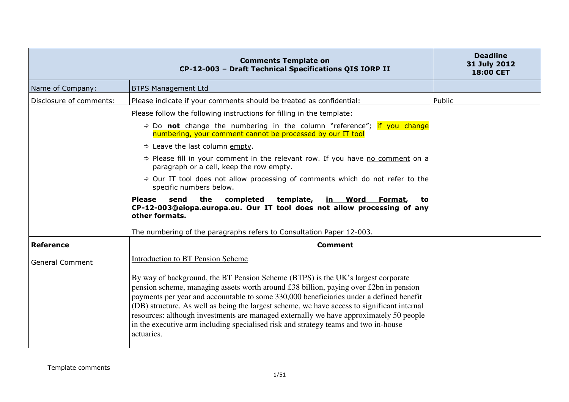|                         | <b>Comments Template on</b><br>CP-12-003 - Draft Technical Specifications QIS IORP II                                                                                                                                                                                                                                                                                                                                                                                                                                                                              | <b>Deadline</b><br>31 July 2012<br><b>18:00 CET</b> |
|-------------------------|--------------------------------------------------------------------------------------------------------------------------------------------------------------------------------------------------------------------------------------------------------------------------------------------------------------------------------------------------------------------------------------------------------------------------------------------------------------------------------------------------------------------------------------------------------------------|-----------------------------------------------------|
| Name of Company:        | <b>BTPS Management Ltd</b>                                                                                                                                                                                                                                                                                                                                                                                                                                                                                                                                         |                                                     |
| Disclosure of comments: | Please indicate if your comments should be treated as confidential:                                                                                                                                                                                                                                                                                                                                                                                                                                                                                                | Public                                              |
|                         | Please follow the following instructions for filling in the template:                                                                                                                                                                                                                                                                                                                                                                                                                                                                                              |                                                     |
|                         | $\Rightarrow$ Do not change the numbering in the column "reference"; if you change<br>numbering, your comment cannot be processed by our IT tool                                                                                                                                                                                                                                                                                                                                                                                                                   |                                                     |
|                         | $\Rightarrow$ Leave the last column empty.                                                                                                                                                                                                                                                                                                                                                                                                                                                                                                                         |                                                     |
|                         | $\Rightarrow$ Please fill in your comment in the relevant row. If you have no comment on a<br>paragraph or a cell, keep the row empty.                                                                                                                                                                                                                                                                                                                                                                                                                             |                                                     |
|                         | $\Rightarrow$ Our IT tool does not allow processing of comments which do not refer to the<br>specific numbers below.                                                                                                                                                                                                                                                                                                                                                                                                                                               |                                                     |
|                         | the<br>completed<br>template,<br><b>Please</b><br>send<br>in Word<br>Format,<br>to<br>CP-12-003@eiopa.europa.eu. Our IT tool does not allow processing of any<br>other formats.                                                                                                                                                                                                                                                                                                                                                                                    |                                                     |
|                         | The numbering of the paragraphs refers to Consultation Paper 12-003.                                                                                                                                                                                                                                                                                                                                                                                                                                                                                               |                                                     |
| <b>Reference</b>        | <b>Comment</b>                                                                                                                                                                                                                                                                                                                                                                                                                                                                                                                                                     |                                                     |
| <b>General Comment</b>  | <b>Introduction to BT Pension Scheme</b>                                                                                                                                                                                                                                                                                                                                                                                                                                                                                                                           |                                                     |
|                         | By way of background, the BT Pension Scheme (BTPS) is the UK's largest corporate<br>pension scheme, managing assets worth around £38 billion, paying over £2bn in pension<br>payments per year and accountable to some 330,000 beneficiaries under a defined benefit<br>(DB) structure. As well as being the largest scheme, we have access to significant internal<br>resources: although investments are managed externally we have approximately 50 people<br>in the executive arm including specialised risk and strategy teams and two in-house<br>actuaries. |                                                     |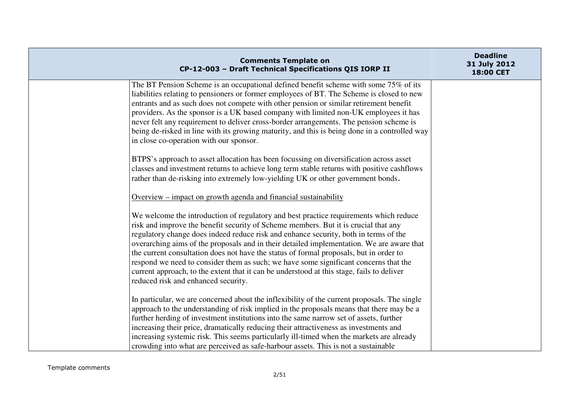| <b>Comments Template on</b><br>CP-12-003 - Draft Technical Specifications QIS IORP II                                                                                                                                                                                                                                                                                                                                                                                                                                                                                                                                                                                                   | <b>Deadline</b><br>31 July 2012<br>18:00 CET |
|-----------------------------------------------------------------------------------------------------------------------------------------------------------------------------------------------------------------------------------------------------------------------------------------------------------------------------------------------------------------------------------------------------------------------------------------------------------------------------------------------------------------------------------------------------------------------------------------------------------------------------------------------------------------------------------------|----------------------------------------------|
| The BT Pension Scheme is an occupational defined benefit scheme with some 75% of its<br>liabilities relating to pensioners or former employees of BT. The Scheme is closed to new<br>entrants and as such does not compete with other pension or similar retirement benefit<br>providers. As the sponsor is a UK based company with limited non-UK employees it has<br>never felt any requirement to deliver cross-border arrangements. The pension scheme is<br>being de-risked in line with its growing maturity, and this is being done in a controlled way<br>in close co-operation with our sponsor.                                                                               |                                              |
| BTPS's approach to asset allocation has been focussing on diversification across asset<br>classes and investment returns to achieve long term stable returns with positive cashflows<br>rather than de-risking into extremely low-yielding UK or other government bonds.                                                                                                                                                                                                                                                                                                                                                                                                                |                                              |
| Overview – impact on growth agenda and financial sustainability                                                                                                                                                                                                                                                                                                                                                                                                                                                                                                                                                                                                                         |                                              |
| We welcome the introduction of regulatory and best practice requirements which reduce<br>risk and improve the benefit security of Scheme members. But it is crucial that any<br>regulatory change does indeed reduce risk and enhance security, both in terms of the<br>overarching aims of the proposals and in their detailed implementation. We are aware that<br>the current consultation does not have the status of formal proposals, but in order to<br>respond we need to consider them as such; we have some significant concerns that the<br>current approach, to the extent that it can be understood at this stage, fails to deliver<br>reduced risk and enhanced security. |                                              |
| In particular, we are concerned about the inflexibility of the current proposals. The single<br>approach to the understanding of risk implied in the proposals means that there may be a<br>further herding of investment institutions into the same narrow set of assets, further<br>increasing their price, dramatically reducing their attractiveness as investments and<br>increasing systemic risk. This seems particularly ill-timed when the markets are already<br>crowding into what are perceived as safe-harbour assets. This is not a sustainable                                                                                                                           |                                              |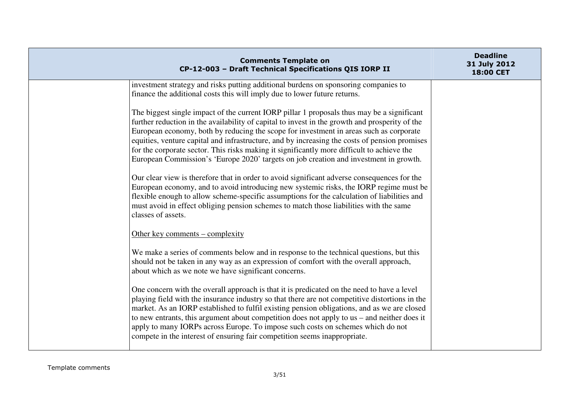| <b>Comments Template on</b><br>CP-12-003 - Draft Technical Specifications QIS IORP II                                                                                                                                                                                                                                                                                                                                                                                                                                                                                          | <b>Deadline</b><br>31 July 2012<br>18:00 CET |
|--------------------------------------------------------------------------------------------------------------------------------------------------------------------------------------------------------------------------------------------------------------------------------------------------------------------------------------------------------------------------------------------------------------------------------------------------------------------------------------------------------------------------------------------------------------------------------|----------------------------------------------|
| investment strategy and risks putting additional burdens on sponsoring companies to<br>finance the additional costs this will imply due to lower future returns.                                                                                                                                                                                                                                                                                                                                                                                                               |                                              |
| The biggest single impact of the current IORP pillar 1 proposals thus may be a significant<br>further reduction in the availability of capital to invest in the growth and prosperity of the<br>European economy, both by reducing the scope for investment in areas such as corporate<br>equities, venture capital and infrastructure, and by increasing the costs of pension promises<br>for the corporate sector. This risks making it significantly more difficult to achieve the<br>European Commission's 'Europe 2020' targets on job creation and investment in growth. |                                              |
| Our clear view is therefore that in order to avoid significant adverse consequences for the<br>European economy, and to avoid introducing new systemic risks, the IORP regime must be<br>flexible enough to allow scheme-specific assumptions for the calculation of liabilities and<br>must avoid in effect obliging pension schemes to match those liabilities with the same<br>classes of assets.                                                                                                                                                                           |                                              |
| Other key comments – complexity                                                                                                                                                                                                                                                                                                                                                                                                                                                                                                                                                |                                              |
| We make a series of comments below and in response to the technical questions, but this<br>should not be taken in any way as an expression of comfort with the overall approach,<br>about which as we note we have significant concerns.                                                                                                                                                                                                                                                                                                                                       |                                              |
| One concern with the overall approach is that it is predicated on the need to have a level<br>playing field with the insurance industry so that there are not competitive distortions in the<br>market. As an IORP established to fulfil existing pension obligations, and as we are closed<br>to new entrants, this argument about competition does not apply to us – and neither does it<br>apply to many IORPs across Europe. To impose such costs on schemes which do not<br>compete in the interest of ensuring fair competition seems inappropriate.                     |                                              |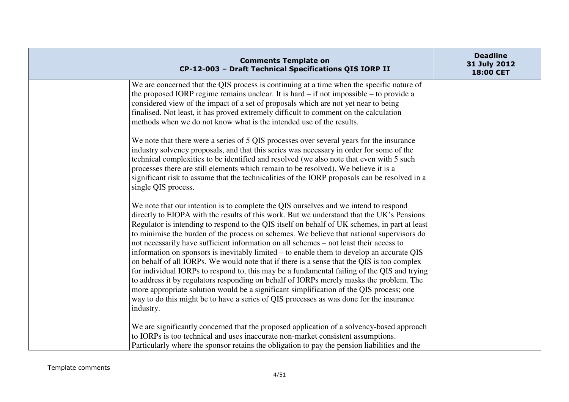| <b>Comments Template on</b><br>CP-12-003 - Draft Technical Specifications QIS IORP II                                                                                                                                                                                                                                                                                                                                                                                                                                                                                                                                                                                                                                                                                                                                                                                                                                                                                                                                                                             | <b>Deadline</b><br>31 July 2012<br>18:00 CET |
|-------------------------------------------------------------------------------------------------------------------------------------------------------------------------------------------------------------------------------------------------------------------------------------------------------------------------------------------------------------------------------------------------------------------------------------------------------------------------------------------------------------------------------------------------------------------------------------------------------------------------------------------------------------------------------------------------------------------------------------------------------------------------------------------------------------------------------------------------------------------------------------------------------------------------------------------------------------------------------------------------------------------------------------------------------------------|----------------------------------------------|
| We are concerned that the QIS process is continuing at a time when the specific nature of<br>the proposed IORP regime remains unclear. It is hard $-$ if not impossible $-$ to provide a<br>considered view of the impact of a set of proposals which are not yet near to being<br>finalised. Not least, it has proved extremely difficult to comment on the calculation<br>methods when we do not know what is the intended use of the results.                                                                                                                                                                                                                                                                                                                                                                                                                                                                                                                                                                                                                  |                                              |
| We note that there were a series of 5 QIS processes over several years for the insurance<br>industry solvency proposals, and that this series was necessary in order for some of the<br>technical complexities to be identified and resolved (we also note that even with 5 such<br>processes there are still elements which remain to be resolved). We believe it is a<br>significant risk to assume that the technicalities of the IORP proposals can be resolved in a<br>single QIS process.                                                                                                                                                                                                                                                                                                                                                                                                                                                                                                                                                                   |                                              |
| We note that our intention is to complete the QIS ourselves and we intend to respond<br>directly to EIOPA with the results of this work. But we understand that the UK's Pensions<br>Regulator is intending to respond to the QIS itself on behalf of UK schemes, in part at least<br>to minimise the burden of the process on schemes. We believe that national supervisors do<br>not necessarily have sufficient information on all schemes – not least their access to<br>information on sponsors is inevitably limited – to enable them to develop an accurate QIS<br>on behalf of all IORPs. We would note that if there is a sense that the QIS is too complex<br>for individual IORPs to respond to, this may be a fundamental failing of the QIS and trying<br>to address it by regulators responding on behalf of IORPs merely masks the problem. The<br>more appropriate solution would be a significant simplification of the QIS process; one<br>way to do this might be to have a series of QIS processes as was done for the insurance<br>industry. |                                              |
| We are significantly concerned that the proposed application of a solvency-based approach<br>to IORPs is too technical and uses inaccurate non-market consistent assumptions.<br>Particularly where the sponsor retains the obligation to pay the pension liabilities and the                                                                                                                                                                                                                                                                                                                                                                                                                                                                                                                                                                                                                                                                                                                                                                                     |                                              |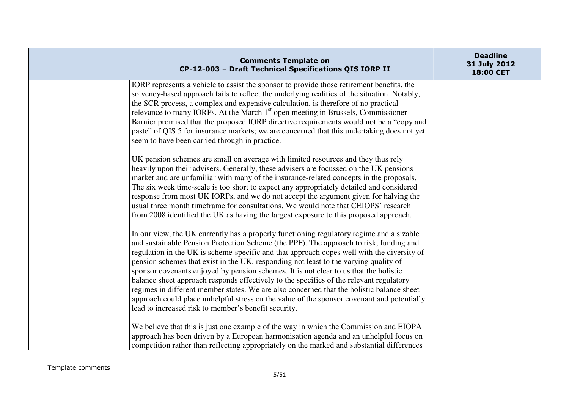| <b>Comments Template on</b><br>CP-12-003 - Draft Technical Specifications QIS IORP II                                                                                                                                                                                                                                                                                                                                                                                                                                                                                                                                                                                                                                                                                                                           | <b>Deadline</b><br>31 July 2012<br>18:00 CET |
|-----------------------------------------------------------------------------------------------------------------------------------------------------------------------------------------------------------------------------------------------------------------------------------------------------------------------------------------------------------------------------------------------------------------------------------------------------------------------------------------------------------------------------------------------------------------------------------------------------------------------------------------------------------------------------------------------------------------------------------------------------------------------------------------------------------------|----------------------------------------------|
| IORP represents a vehicle to assist the sponsor to provide those retirement benefits, the<br>solvency-based approach fails to reflect the underlying realities of the situation. Notably,<br>the SCR process, a complex and expensive calculation, is therefore of no practical<br>relevance to many IORPs. At the March 1 <sup>st</sup> open meeting in Brussels, Commissioner<br>Barnier promised that the proposed IORP directive requirements would not be a "copy and<br>paste" of QIS 5 for insurance markets; we are concerned that this undertaking does not yet<br>seem to have been carried through in practice.                                                                                                                                                                                      |                                              |
| UK pension schemes are small on average with limited resources and they thus rely<br>heavily upon their advisers. Generally, these advisers are focussed on the UK pensions<br>market and are unfamiliar with many of the insurance-related concepts in the proposals.<br>The six week time-scale is too short to expect any appropriately detailed and considered<br>response from most UK IORPs, and we do not accept the argument given for halving the<br>usual three month timeframe for consultations. We would note that CEIOPS' research<br>from 2008 identified the UK as having the largest exposure to this proposed approach.                                                                                                                                                                       |                                              |
| In our view, the UK currently has a properly functioning regulatory regime and a sizable<br>and sustainable Pension Protection Scheme (the PPF). The approach to risk, funding and<br>regulation in the UK is scheme-specific and that approach copes well with the diversity of<br>pension schemes that exist in the UK, responding not least to the varying quality of<br>sponsor covenants enjoyed by pension schemes. It is not clear to us that the holistic<br>balance sheet approach responds effectively to the specifics of the relevant regulatory<br>regimes in different member states. We are also concerned that the holistic balance sheet<br>approach could place unhelpful stress on the value of the sponsor covenant and potentially<br>lead to increased risk to member's benefit security. |                                              |
| We believe that this is just one example of the way in which the Commission and EIOPA<br>approach has been driven by a European harmonisation agenda and an unhelpful focus on<br>competition rather than reflecting appropriately on the marked and substantial differences                                                                                                                                                                                                                                                                                                                                                                                                                                                                                                                                    |                                              |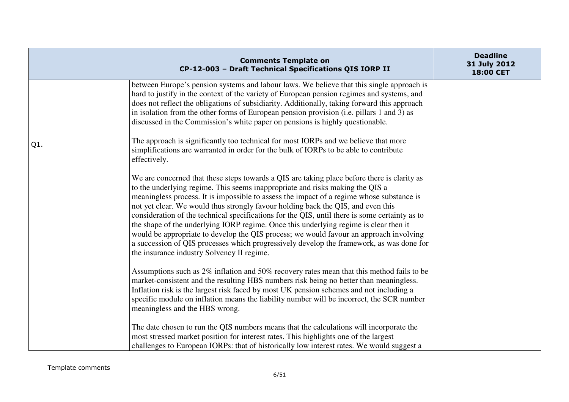|        | <b>Comments Template on</b><br>CP-12-003 - Draft Technical Specifications QIS IORP II                                                                                                                                                                                                                                                                                                                                                                                                                                                                                                                                                                                                                                                                                                        | <b>Deadline</b><br>31 July 2012<br>18:00 CET |
|--------|----------------------------------------------------------------------------------------------------------------------------------------------------------------------------------------------------------------------------------------------------------------------------------------------------------------------------------------------------------------------------------------------------------------------------------------------------------------------------------------------------------------------------------------------------------------------------------------------------------------------------------------------------------------------------------------------------------------------------------------------------------------------------------------------|----------------------------------------------|
|        | between Europe's pension systems and labour laws. We believe that this single approach is<br>hard to justify in the context of the variety of European pension regimes and systems, and<br>does not reflect the obligations of subsidiarity. Additionally, taking forward this approach<br>in isolation from the other forms of European pension provision (i.e. pillars 1 and 3) as<br>discussed in the Commission's white paper on pensions is highly questionable.                                                                                                                                                                                                                                                                                                                        |                                              |
| $Q1$ . | The approach is significantly too technical for most IORPs and we believe that more<br>simplifications are warranted in order for the bulk of IORPs to be able to contribute<br>effectively.                                                                                                                                                                                                                                                                                                                                                                                                                                                                                                                                                                                                 |                                              |
|        | We are concerned that these steps towards a QIS are taking place before there is clarity as<br>to the underlying regime. This seems inappropriate and risks making the QIS a<br>meaningless process. It is impossible to assess the impact of a regime whose substance is<br>not yet clear. We would thus strongly favour holding back the QIS, and even this<br>consideration of the technical specifications for the QIS, until there is some certainty as to<br>the shape of the underlying IORP regime. Once this underlying regime is clear then it<br>would be appropriate to develop the QIS process; we would favour an approach involving<br>a succession of QIS processes which progressively develop the framework, as was done for<br>the insurance industry Solvency II regime. |                                              |
|        | Assumptions such as 2% inflation and 50% recovery rates mean that this method fails to be<br>market-consistent and the resulting HBS numbers risk being no better than meaningless.<br>Inflation risk is the largest risk faced by most UK pension schemes and not including a<br>specific module on inflation means the liability number will be incorrect, the SCR number<br>meaningless and the HBS wrong.                                                                                                                                                                                                                                                                                                                                                                                |                                              |
|        | The date chosen to run the QIS numbers means that the calculations will incorporate the<br>most stressed market position for interest rates. This highlights one of the largest<br>challenges to European IORPs: that of historically low interest rates. We would suggest a                                                                                                                                                                                                                                                                                                                                                                                                                                                                                                                 |                                              |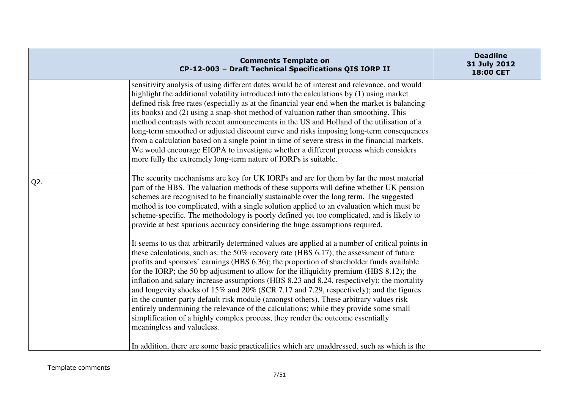|        | <b>Comments Template on</b><br>CP-12-003 - Draft Technical Specifications QIS IORP II                                                                                                                                                                                                                                                                                                                                                                                                                                                                                                                                                                                                                                                                                                                                                                                            | <b>Deadline</b><br>31 July 2012<br>18:00 CET |
|--------|----------------------------------------------------------------------------------------------------------------------------------------------------------------------------------------------------------------------------------------------------------------------------------------------------------------------------------------------------------------------------------------------------------------------------------------------------------------------------------------------------------------------------------------------------------------------------------------------------------------------------------------------------------------------------------------------------------------------------------------------------------------------------------------------------------------------------------------------------------------------------------|----------------------------------------------|
|        | sensitivity analysis of using different dates would be of interest and relevance, and would<br>highlight the additional volatility introduced into the calculations by (1) using market<br>defined risk free rates (especially as at the financial year end when the market is balancing<br>its books) and (2) using a snap-shot method of valuation rather than smoothing. This<br>method contrasts with recent announcements in the US and Holland of the utilisation of a<br>long-term smoothed or adjusted discount curve and risks imposing long-term consequences<br>from a calculation based on a single point in time of severe stress in the financial markets.<br>We would encourage EIOPA to investigate whether a different process which considers<br>more fully the extremely long-term nature of IORPs is suitable.                                               |                                              |
| $Q2$ . | The security mechanisms are key for UK IORPs and are for them by far the most material<br>part of the HBS. The valuation methods of these supports will define whether UK pension<br>schemes are recognised to be financially sustainable over the long term. The suggested<br>method is too complicated, with a single solution applied to an evaluation which must be<br>scheme-specific. The methodology is poorly defined yet too complicated, and is likely to<br>provide at best spurious accuracy considering the huge assumptions required.                                                                                                                                                                                                                                                                                                                              |                                              |
|        | It seems to us that arbitrarily determined values are applied at a number of critical points in<br>these calculations, such as: the $50\%$ recovery rate (HBS 6.17); the assessment of future<br>profits and sponsors' earnings (HBS 6.36); the proportion of shareholder funds available<br>for the IORP; the 50 bp adjustment to allow for the illiquidity premium (HBS 8.12); the<br>inflation and salary increase assumptions (HBS 8.23 and 8.24, respectively); the mortality<br>and longevity shocks of 15% and 20% (SCR 7.17 and 7.29, respectively); and the figures<br>in the counter-party default risk module (amongst others). These arbitrary values risk<br>entirely undermining the relevance of the calculations; while they provide some small<br>simplification of a highly complex process, they render the outcome essentially<br>meaningless and valueless. |                                              |
|        | In addition, there are some basic practicalities which are unaddressed, such as which is the                                                                                                                                                                                                                                                                                                                                                                                                                                                                                                                                                                                                                                                                                                                                                                                     |                                              |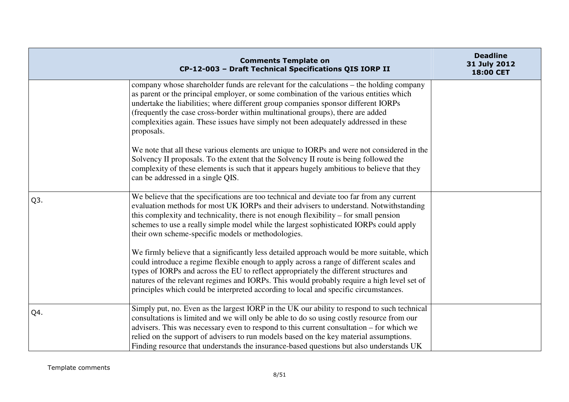|     | <b>Comments Template on</b><br>CP-12-003 - Draft Technical Specifications QIS IORP II                                                                                                                                                                                                                                                                                                                                                                                     | <b>Deadline</b><br>31 July 2012<br>18:00 CET |
|-----|---------------------------------------------------------------------------------------------------------------------------------------------------------------------------------------------------------------------------------------------------------------------------------------------------------------------------------------------------------------------------------------------------------------------------------------------------------------------------|----------------------------------------------|
|     | company whose shareholder funds are relevant for the calculations – the holding company<br>as parent or the principal employer, or some combination of the various entities which<br>undertake the liabilities; where different group companies sponsor different IORPs<br>(frequently the case cross-border within multinational groups), there are added<br>complexities again. These issues have simply not been adequately addressed in these<br>proposals.           |                                              |
|     | We note that all these various elements are unique to IORPs and were not considered in the<br>Solvency II proposals. To the extent that the Solvency II route is being followed the<br>complexity of these elements is such that it appears hugely ambitious to believe that they<br>can be addressed in a single QIS.                                                                                                                                                    |                                              |
| Q3. | We believe that the specifications are too technical and deviate too far from any current<br>evaluation methods for most UK IORPs and their advisers to understand. Notwithstanding<br>this complexity and technicality, there is not enough flexibility – for small pension<br>schemes to use a really simple model while the largest sophisticated IORPs could apply<br>their own scheme-specific models or methodologies.                                              |                                              |
|     | We firmly believe that a significantly less detailed approach would be more suitable, which<br>could introduce a regime flexible enough to apply across a range of different scales and<br>types of IORPs and across the EU to reflect appropriately the different structures and<br>natures of the relevant regimes and IORPs. This would probably require a high level set of<br>principles which could be interpreted according to local and specific circumstances.   |                                              |
| Q4. | Simply put, no. Even as the largest IORP in the UK our ability to respond to such technical<br>consultations is limited and we will only be able to do so using costly resource from our<br>advisers. This was necessary even to respond to this current consultation – for which we<br>relied on the support of advisers to run models based on the key material assumptions.<br>Finding resource that understands the insurance-based questions but also understands UK |                                              |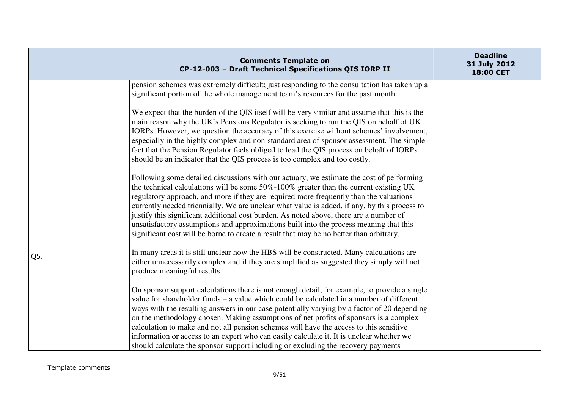|     | <b>Comments Template on</b><br>CP-12-003 - Draft Technical Specifications QIS IORP II                                                                                                                                                                                                                                                                                                                                                                                                                                                                                                                                                                       | <b>Deadline</b><br>31 July 2012<br>18:00 CET |
|-----|-------------------------------------------------------------------------------------------------------------------------------------------------------------------------------------------------------------------------------------------------------------------------------------------------------------------------------------------------------------------------------------------------------------------------------------------------------------------------------------------------------------------------------------------------------------------------------------------------------------------------------------------------------------|----------------------------------------------|
|     | pension schemes was extremely difficult; just responding to the consultation has taken up a<br>significant portion of the whole management team's resources for the past month.                                                                                                                                                                                                                                                                                                                                                                                                                                                                             |                                              |
|     | We expect that the burden of the QIS itself will be very similar and assume that this is the<br>main reason why the UK's Pensions Regulator is seeking to run the QIS on behalf of UK<br>IORPs. However, we question the accuracy of this exercise without schemes' involvement,<br>especially in the highly complex and non-standard area of sponsor assessment. The simple<br>fact that the Pension Regulator feels obliged to lead the QIS process on behalf of IORPs<br>should be an indicator that the QIS process is too complex and too costly.                                                                                                      |                                              |
|     | Following some detailed discussions with our actuary, we estimate the cost of performing<br>the technical calculations will be some 50%-100% greater than the current existing UK<br>regulatory approach, and more if they are required more frequently than the valuations<br>currently needed triennially. We are unclear what value is added, if any, by this process to<br>justify this significant additional cost burden. As noted above, there are a number of<br>unsatisfactory assumptions and approximations built into the process meaning that this<br>significant cost will be borne to create a result that may be no better than arbitrary.  |                                              |
| Q5. | In many areas it is still unclear how the HBS will be constructed. Many calculations are<br>either unnecessarily complex and if they are simplified as suggested they simply will not<br>produce meaningful results.                                                                                                                                                                                                                                                                                                                                                                                                                                        |                                              |
|     | On sponsor support calculations there is not enough detail, for example, to provide a single<br>value for shareholder funds – a value which could be calculated in a number of different<br>ways with the resulting answers in our case potentially varying by a factor of 20 depending<br>on the methodology chosen. Making assumptions of net profits of sponsors is a complex<br>calculation to make and not all pension schemes will have the access to this sensitive<br>information or access to an expert who can easily calculate it. It is unclear whether we<br>should calculate the sponsor support including or excluding the recovery payments |                                              |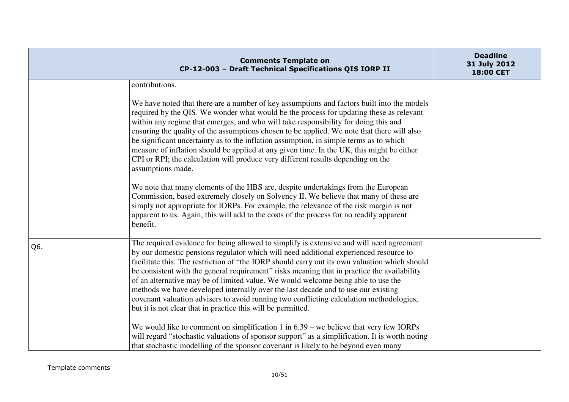|     | <b>Comments Template on</b><br>CP-12-003 - Draft Technical Specifications QIS IORP II                                                                                                                                                                                                                                                                                                                                                                                                                                                                                                                                                                                                                                                                                                                                                                                                                                                                                                                                                                            | <b>Deadline</b><br>31 July 2012<br>18:00 CET |
|-----|------------------------------------------------------------------------------------------------------------------------------------------------------------------------------------------------------------------------------------------------------------------------------------------------------------------------------------------------------------------------------------------------------------------------------------------------------------------------------------------------------------------------------------------------------------------------------------------------------------------------------------------------------------------------------------------------------------------------------------------------------------------------------------------------------------------------------------------------------------------------------------------------------------------------------------------------------------------------------------------------------------------------------------------------------------------|----------------------------------------------|
|     | contributions.<br>We have noted that there are a number of key assumptions and factors built into the models<br>required by the QIS. We wonder what would be the process for updating these as relevant<br>within any regime that emerges, and who will take responsibility for doing this and<br>ensuring the quality of the assumptions chosen to be applied. We note that there will also<br>be significant uncertainty as to the inflation assumption, in simple terms as to which<br>measure of inflation should be applied at any given time. In the UK, this might be either<br>CPI or RPI; the calculation will produce very different results depending on the<br>assumptions made.<br>We note that many elements of the HBS are, despite undertakings from the European<br>Commission, based extremely closely on Solvency II. We believe that many of these are<br>simply not appropriate for IORPs. For example, the relevance of the risk margin is not<br>apparent to us. Again, this will add to the costs of the process for no readily apparent |                                              |
| Q6. | benefit.<br>The required evidence for being allowed to simplify is extensive and will need agreement<br>by our domestic pensions regulator which will need additional experienced resource to<br>facilitate this. The restriction of "the IORP should carry out its own valuation which should<br>be consistent with the general requirement" risks meaning that in practice the availability<br>of an alternative may be of limited value. We would welcome being able to use the<br>methods we have developed internally over the last decade and to use our existing<br>covenant valuation advisers to avoid running two conflicting calculation methodologies,<br>but it is not clear that in practice this will be permitted.                                                                                                                                                                                                                                                                                                                               |                                              |
|     | We would like to comment on simplification 1 in $6.39$ – we believe that very few IORPs<br>will regard "stochastic valuations of sponsor support" as a simplification. It is worth noting<br>that stochastic modelling of the sponsor covenant is likely to be beyond even many                                                                                                                                                                                                                                                                                                                                                                                                                                                                                                                                                                                                                                                                                                                                                                                  |                                              |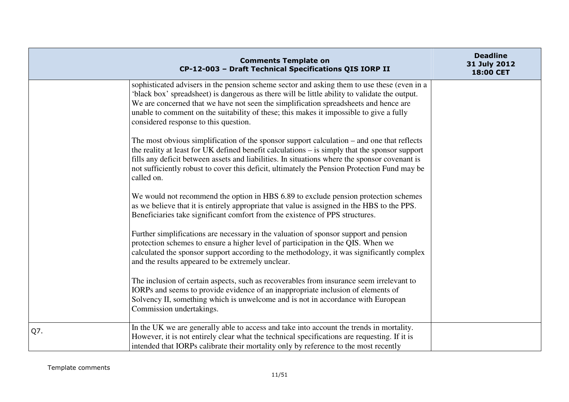|     | <b>Comments Template on</b><br>CP-12-003 - Draft Technical Specifications QIS IORP II                                                                                                                                                                                                                                                                                                                                    | <b>Deadline</b><br>31 July 2012<br>18:00 CET |
|-----|--------------------------------------------------------------------------------------------------------------------------------------------------------------------------------------------------------------------------------------------------------------------------------------------------------------------------------------------------------------------------------------------------------------------------|----------------------------------------------|
|     | sophisticated advisers in the pension scheme sector and asking them to use these (even in a<br>'black box' spreadsheet) is dangerous as there will be little ability to validate the output.<br>We are concerned that we have not seen the simplification spreadsheets and hence are<br>unable to comment on the suitability of these; this makes it impossible to give a fully<br>considered response to this question. |                                              |
|     | The most obvious simplification of the sponsor support calculation – and one that reflects<br>the reality at least for UK defined benefit calculations – is simply that the sponsor support<br>fills any deficit between assets and liabilities. In situations where the sponsor covenant is<br>not sufficiently robust to cover this deficit, ultimately the Pension Protection Fund may be<br>called on.               |                                              |
|     | We would not recommend the option in HBS 6.89 to exclude pension protection schemes<br>as we believe that it is entirely appropriate that value is assigned in the HBS to the PPS.<br>Beneficiaries take significant comfort from the existence of PPS structures.                                                                                                                                                       |                                              |
|     | Further simplifications are necessary in the valuation of sponsor support and pension<br>protection schemes to ensure a higher level of participation in the QIS. When we<br>calculated the sponsor support according to the methodology, it was significantly complex<br>and the results appeared to be extremely unclear.                                                                                              |                                              |
|     | The inclusion of certain aspects, such as recoverables from insurance seem irrelevant to<br>IORPs and seems to provide evidence of an inappropriate inclusion of elements of<br>Solvency II, something which is unwelcome and is not in accordance with European<br>Commission undertakings.                                                                                                                             |                                              |
| Q7. | In the UK we are generally able to access and take into account the trends in mortality.<br>However, it is not entirely clear what the technical specifications are requesting. If it is<br>intended that IORPs calibrate their mortality only by reference to the most recently                                                                                                                                         |                                              |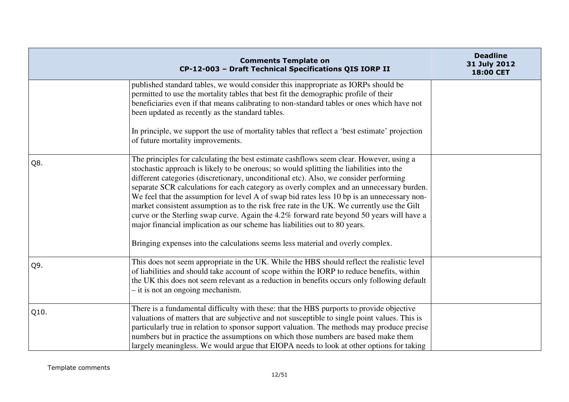|      | <b>Comments Template on</b><br>CP-12-003 - Draft Technical Specifications QIS IORP II                                                                                                                                                                                                                                                                                                                                                                                                                                                                                                                                                                                                                                                                                                                                               | <b>Deadline</b><br>31 July 2012<br>18:00 CET |
|------|-------------------------------------------------------------------------------------------------------------------------------------------------------------------------------------------------------------------------------------------------------------------------------------------------------------------------------------------------------------------------------------------------------------------------------------------------------------------------------------------------------------------------------------------------------------------------------------------------------------------------------------------------------------------------------------------------------------------------------------------------------------------------------------------------------------------------------------|----------------------------------------------|
|      | published standard tables, we would consider this inappropriate as IORPs should be<br>permitted to use the mortality tables that best fit the demographic profile of their<br>beneficiaries even if that means calibrating to non-standard tables or ones which have not<br>been updated as recently as the standard tables.<br>In principle, we support the use of mortality tables that reflect a 'best estimate' projection<br>of future mortality improvements.                                                                                                                                                                                                                                                                                                                                                                 |                                              |
| Q8.  | The principles for calculating the best estimate cashflows seem clear. However, using a<br>stochastic approach is likely to be onerous; so would splitting the liabilities into the<br>different categories (discretionary, unconditional etc). Also, we consider performing<br>separate SCR calculations for each category as overly complex and an unnecessary burden.<br>We feel that the assumption for level A of swap bid rates less 10 bp is an unnecessary non-<br>market consistent assumption as to the risk free rate in the UK. We currently use the Gilt<br>curve or the Sterling swap curve. Again the 4.2% forward rate beyond 50 years will have a<br>major financial implication as our scheme has liabilities out to 80 years.<br>Bringing expenses into the calculations seems less material and overly complex. |                                              |
| Q9.  | This does not seem appropriate in the UK. While the HBS should reflect the realistic level<br>of liabilities and should take account of scope within the IORP to reduce benefits, within<br>the UK this does not seem relevant as a reduction in benefits occurs only following default<br>$-$ it is not an ongoing mechanism.                                                                                                                                                                                                                                                                                                                                                                                                                                                                                                      |                                              |
| Q10. | There is a fundamental difficulty with these: that the HBS purports to provide objective<br>valuations of matters that are subjective and not susceptible to single point values. This is<br>particularly true in relation to sponsor support valuation. The methods may produce precise<br>numbers but in practice the assumptions on which those numbers are based make them<br>largely meaningless. We would argue that EIOPA needs to look at other options for taking                                                                                                                                                                                                                                                                                                                                                          |                                              |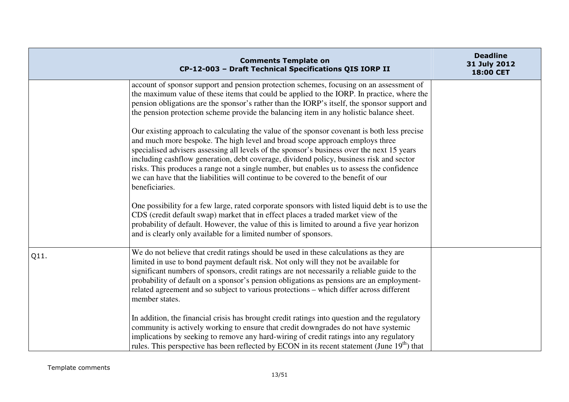|      | <b>Comments Template on</b><br>CP-12-003 - Draft Technical Specifications QIS IORP II                                                                                                                                                                                                                                                                                                                                                                                                                                                                                     | <b>Deadline</b><br>31 July 2012<br>18:00 CET |
|------|---------------------------------------------------------------------------------------------------------------------------------------------------------------------------------------------------------------------------------------------------------------------------------------------------------------------------------------------------------------------------------------------------------------------------------------------------------------------------------------------------------------------------------------------------------------------------|----------------------------------------------|
|      | account of sponsor support and pension protection schemes, focusing on an assessment of<br>the maximum value of these items that could be applied to the IORP. In practice, where the<br>pension obligations are the sponsor's rather than the IORP's itself, the sponsor support and<br>the pension protection scheme provide the balancing item in any holistic balance sheet.                                                                                                                                                                                          |                                              |
|      | Our existing approach to calculating the value of the sponsor covenant is both less precise<br>and much more bespoke. The high level and broad scope approach employs three<br>specialised advisers assessing all levels of the sponsor's business over the next 15 years<br>including cashflow generation, debt coverage, dividend policy, business risk and sector<br>risks. This produces a range not a single number, but enables us to assess the confidence<br>we can have that the liabilities will continue to be covered to the benefit of our<br>beneficiaries. |                                              |
|      | One possibility for a few large, rated corporate sponsors with listed liquid debt is to use the<br>CDS (credit default swap) market that in effect places a traded market view of the<br>probability of default. However, the value of this is limited to around a five year horizon<br>and is clearly only available for a limited number of sponsors.                                                                                                                                                                                                                   |                                              |
| Q11. | We do not believe that credit ratings should be used in these calculations as they are<br>limited in use to bond payment default risk. Not only will they not be available for<br>significant numbers of sponsors, credit ratings are not necessarily a reliable guide to the<br>probability of default on a sponsor's pension obligations as pensions are an employment-<br>related agreement and so subject to various protections – which differ across different<br>member states.                                                                                    |                                              |
|      | In addition, the financial crisis has brought credit ratings into question and the regulatory<br>community is actively working to ensure that credit downgrades do not have systemic<br>implications by seeking to remove any hard-wiring of credit ratings into any regulatory<br>rules. This perspective has been reflected by ECON in its recent statement (June $19th$ ) that                                                                                                                                                                                         |                                              |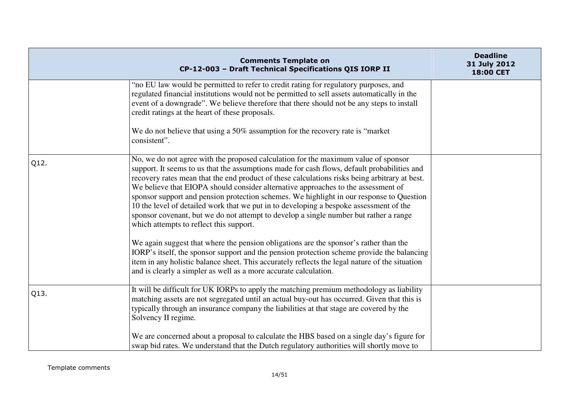|      | <b>Comments Template on</b><br>CP-12-003 - Draft Technical Specifications QIS IORP II                                                                                                                                                                                                                                                                                                                                                                                                                                                                                                                                                                                                                                                                                                      | <b>Deadline</b><br>31 July 2012<br>18:00 CET |
|------|--------------------------------------------------------------------------------------------------------------------------------------------------------------------------------------------------------------------------------------------------------------------------------------------------------------------------------------------------------------------------------------------------------------------------------------------------------------------------------------------------------------------------------------------------------------------------------------------------------------------------------------------------------------------------------------------------------------------------------------------------------------------------------------------|----------------------------------------------|
|      | "no EU law would be permitted to refer to credit rating for regulatory purposes, and<br>regulated financial institutions would not be permitted to sell assets automatically in the<br>event of a downgrade". We believe therefore that there should not be any steps to install<br>credit ratings at the heart of these proposals.<br>We do not believe that using a 50% assumption for the recovery rate is "market"<br>consistent".                                                                                                                                                                                                                                                                                                                                                     |                                              |
| Q12. | No, we do not agree with the proposed calculation for the maximum value of sponsor<br>support. It seems to us that the assumptions made for cash flows, default probabilities and<br>recovery rates mean that the end product of these calculations risks being arbitrary at best.<br>We believe that EIOPA should consider alternative approaches to the assessment of<br>sponsor support and pension protection schemes. We highlight in our response to Question<br>10 the level of detailed work that we put in to developing a bespoke assessment of the<br>sponsor covenant, but we do not attempt to develop a single number but rather a range<br>which attempts to reflect this support.<br>We again suggest that where the pension obligations are the sponsor's rather than the |                                              |
|      | IORP's itself, the sponsor support and the pension protection scheme provide the balancing<br>item in any holistic balance sheet. This accurately reflects the legal nature of the situation<br>and is clearly a simpler as well as a more accurate calculation.                                                                                                                                                                                                                                                                                                                                                                                                                                                                                                                           |                                              |
| Q13. | It will be difficult for UK IORPs to apply the matching premium methodology as liability<br>matching assets are not segregated until an actual buy-out has occurred. Given that this is<br>typically through an insurance company the liabilities at that stage are covered by the<br>Solvency II regime.                                                                                                                                                                                                                                                                                                                                                                                                                                                                                  |                                              |
|      | We are concerned about a proposal to calculate the HBS based on a single day's figure for<br>swap bid rates. We understand that the Dutch regulatory authorities will shortly move to                                                                                                                                                                                                                                                                                                                                                                                                                                                                                                                                                                                                      |                                              |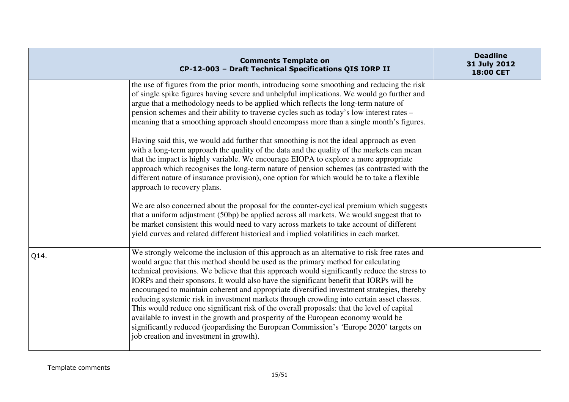|      | <b>Comments Template on</b><br>CP-12-003 - Draft Technical Specifications QIS IORP II                                                                                                                                                                                                                                                                                                                                                                                                                                                                                                                                                                                                                                                                                                                                                                                                          | <b>Deadline</b><br>31 July 2012<br>18:00 CET |
|------|------------------------------------------------------------------------------------------------------------------------------------------------------------------------------------------------------------------------------------------------------------------------------------------------------------------------------------------------------------------------------------------------------------------------------------------------------------------------------------------------------------------------------------------------------------------------------------------------------------------------------------------------------------------------------------------------------------------------------------------------------------------------------------------------------------------------------------------------------------------------------------------------|----------------------------------------------|
|      | the use of figures from the prior month, introducing some smoothing and reducing the risk<br>of single spike figures having severe and unhelpful implications. We would go further and<br>argue that a methodology needs to be applied which reflects the long-term nature of<br>pension schemes and their ability to traverse cycles such as today's low interest rates -<br>meaning that a smoothing approach should encompass more than a single month's figures.                                                                                                                                                                                                                                                                                                                                                                                                                           |                                              |
|      | Having said this, we would add further that smoothing is not the ideal approach as even<br>with a long-term approach the quality of the data and the quality of the markets can mean<br>that the impact is highly variable. We encourage EIOPA to explore a more appropriate<br>approach which recognises the long-term nature of pension schemes (as contrasted with the<br>different nature of insurance provision), one option for which would be to take a flexible<br>approach to recovery plans.                                                                                                                                                                                                                                                                                                                                                                                         |                                              |
|      | We are also concerned about the proposal for the counter-cyclical premium which suggests<br>that a uniform adjustment (50bp) be applied across all markets. We would suggest that to<br>be market consistent this would need to vary across markets to take account of different<br>yield curves and related different historical and implied volatilities in each market.                                                                                                                                                                                                                                                                                                                                                                                                                                                                                                                     |                                              |
| Q14. | We strongly welcome the inclusion of this approach as an alternative to risk free rates and<br>would argue that this method should be used as the primary method for calculating<br>technical provisions. We believe that this approach would significantly reduce the stress to<br>IORPs and their sponsors. It would also have the significant benefit that IORPs will be<br>encouraged to maintain coherent and appropriate diversified investment strategies, thereby<br>reducing systemic risk in investment markets through crowding into certain asset classes.<br>This would reduce one significant risk of the overall proposals: that the level of capital<br>available to invest in the growth and prosperity of the European economy would be<br>significantly reduced (jeopardising the European Commission's 'Europe 2020' targets on<br>job creation and investment in growth). |                                              |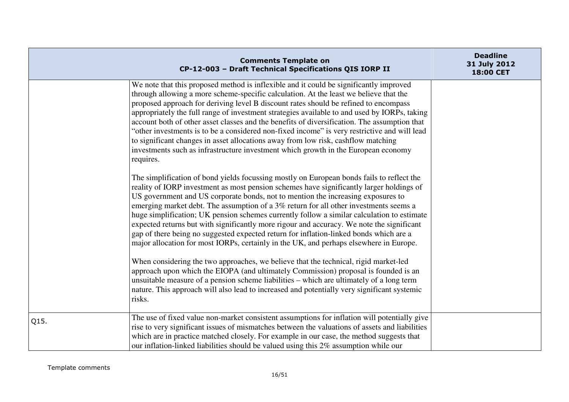|      | <b>Comments Template on</b><br>CP-12-003 - Draft Technical Specifications QIS IORP II                                                                                                                                                                                                                                                                                                                                                                                                                                                                                                                                                                                                                                                                                                                                                                                                                                                                                                                                                                                                                                       | <b>Deadline</b><br>31 July 2012<br>18:00 CET |
|------|-----------------------------------------------------------------------------------------------------------------------------------------------------------------------------------------------------------------------------------------------------------------------------------------------------------------------------------------------------------------------------------------------------------------------------------------------------------------------------------------------------------------------------------------------------------------------------------------------------------------------------------------------------------------------------------------------------------------------------------------------------------------------------------------------------------------------------------------------------------------------------------------------------------------------------------------------------------------------------------------------------------------------------------------------------------------------------------------------------------------------------|----------------------------------------------|
|      | We note that this proposed method is inflexible and it could be significantly improved<br>through allowing a more scheme-specific calculation. At the least we believe that the<br>proposed approach for deriving level B discount rates should be refined to encompass<br>appropriately the full range of investment strategies available to and used by IORPs, taking<br>account both of other asset classes and the benefits of diversification. The assumption that<br>"other investments is to be a considered non-fixed income" is very restrictive and will lead<br>to significant changes in asset allocations away from low risk, cashflow matching<br>investments such as infrastructure investment which growth in the European economy<br>requires.                                                                                                                                                                                                                                                                                                                                                             |                                              |
|      | The simplification of bond yields focussing mostly on European bonds fails to reflect the<br>reality of IORP investment as most pension schemes have significantly larger holdings of<br>US government and US corporate bonds, not to mention the increasing exposures to<br>emerging market debt. The assumption of a 3% return for all other investments seems a<br>huge simplification; UK pension schemes currently follow a similar calculation to estimate<br>expected returns but with significantly more rigour and accuracy. We note the significant<br>gap of there being no suggested expected return for inflation-linked bonds which are a<br>major allocation for most IORPs, certainly in the UK, and perhaps elsewhere in Europe.<br>When considering the two approaches, we believe that the technical, rigid market-led<br>approach upon which the EIOPA (and ultimately Commission) proposal is founded is an<br>unsuitable measure of a pension scheme liabilities – which are ultimately of a long term<br>nature. This approach will also lead to increased and potentially very significant systemic |                                              |
| Q15. | risks.<br>The use of fixed value non-market consistent assumptions for inflation will potentially give                                                                                                                                                                                                                                                                                                                                                                                                                                                                                                                                                                                                                                                                                                                                                                                                                                                                                                                                                                                                                      |                                              |
|      | rise to very significant issues of mismatches between the valuations of assets and liabilities<br>which are in practice matched closely. For example in our case, the method suggests that<br>our inflation-linked liabilities should be valued using this 2% assumption while our                                                                                                                                                                                                                                                                                                                                                                                                                                                                                                                                                                                                                                                                                                                                                                                                                                          |                                              |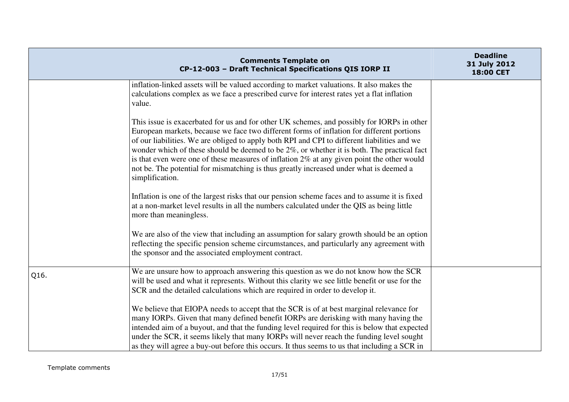|      | <b>Comments Template on</b><br>CP-12-003 - Draft Technical Specifications QIS IORP II                                                                                                                                                                                                                                                                                                                                                                                                                                                                                                               | <b>Deadline</b><br>31 July 2012<br>18:00 CET |
|------|-----------------------------------------------------------------------------------------------------------------------------------------------------------------------------------------------------------------------------------------------------------------------------------------------------------------------------------------------------------------------------------------------------------------------------------------------------------------------------------------------------------------------------------------------------------------------------------------------------|----------------------------------------------|
|      | inflation-linked assets will be valued according to market valuations. It also makes the<br>calculations complex as we face a prescribed curve for interest rates yet a flat inflation<br>value.                                                                                                                                                                                                                                                                                                                                                                                                    |                                              |
|      | This issue is exacerbated for us and for other UK schemes, and possibly for IORPs in other<br>European markets, because we face two different forms of inflation for different portions<br>of our liabilities. We are obliged to apply both RPI and CPI to different liabilities and we<br>wonder which of these should be deemed to be 2%, or whether it is both. The practical fact<br>is that even were one of these measures of inflation $2\%$ at any given point the other would<br>not be. The potential for mismatching is thus greatly increased under what is deemed a<br>simplification. |                                              |
|      | Inflation is one of the largest risks that our pension scheme faces and to assume it is fixed<br>at a non-market level results in all the numbers calculated under the QIS as being little<br>more than meaningless.                                                                                                                                                                                                                                                                                                                                                                                |                                              |
|      | We are also of the view that including an assumption for salary growth should be an option<br>reflecting the specific pension scheme circumstances, and particularly any agreement with<br>the sponsor and the associated employment contract.                                                                                                                                                                                                                                                                                                                                                      |                                              |
| Q16. | We are unsure how to approach answering this question as we do not know how the SCR<br>will be used and what it represents. Without this clarity we see little benefit or use for the<br>SCR and the detailed calculations which are required in order to develop it.                                                                                                                                                                                                                                                                                                                               |                                              |
|      | We believe that EIOPA needs to accept that the SCR is of at best marginal relevance for<br>many IORPs. Given that many defined benefit IORPs are derisking with many having the<br>intended aim of a buyout, and that the funding level required for this is below that expected<br>under the SCR, it seems likely that many IORPs will never reach the funding level sought<br>as they will agree a buy-out before this occurs. It thus seems to us that including a SCR in                                                                                                                        |                                              |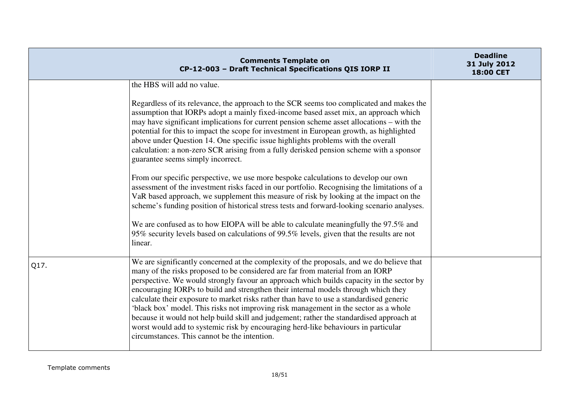|      | <b>Comments Template on</b><br>CP-12-003 - Draft Technical Specifications QIS IORP II                                                                                                                                                                                                                                                                                                                                                                                                                                                                                                                                                                                                                                                                                                                                                                                                                                                                                                                                                                                                                                                                                                                     | <b>Deadline</b><br>31 July 2012<br>18:00 CET |
|------|-----------------------------------------------------------------------------------------------------------------------------------------------------------------------------------------------------------------------------------------------------------------------------------------------------------------------------------------------------------------------------------------------------------------------------------------------------------------------------------------------------------------------------------------------------------------------------------------------------------------------------------------------------------------------------------------------------------------------------------------------------------------------------------------------------------------------------------------------------------------------------------------------------------------------------------------------------------------------------------------------------------------------------------------------------------------------------------------------------------------------------------------------------------------------------------------------------------|----------------------------------------------|
|      | the HBS will add no value.<br>Regardless of its relevance, the approach to the SCR seems too complicated and makes the<br>assumption that IORPs adopt a mainly fixed-income based asset mix, an approach which<br>may have significant implications for current pension scheme asset allocations – with the<br>potential for this to impact the scope for investment in European growth, as highlighted<br>above under Question 14. One specific issue highlights problems with the overall<br>calculation: a non-zero SCR arising from a fully derisked pension scheme with a sponsor<br>guarantee seems simply incorrect.<br>From our specific perspective, we use more bespoke calculations to develop our own<br>assessment of the investment risks faced in our portfolio. Recognising the limitations of a<br>VaR based approach, we supplement this measure of risk by looking at the impact on the<br>scheme's funding position of historical stress tests and forward-looking scenario analyses.<br>We are confused as to how EIOPA will be able to calculate meaningfully the 97.5% and<br>95% security levels based on calculations of 99.5% levels, given that the results are not<br>linear. |                                              |
| Q17. | We are significantly concerned at the complexity of the proposals, and we do believe that<br>many of the risks proposed to be considered are far from material from an IORP<br>perspective. We would strongly favour an approach which builds capacity in the sector by<br>encouraging IORPs to build and strengthen their internal models through which they<br>calculate their exposure to market risks rather than have to use a standardised generic<br>'black box' model. This risks not improving risk management in the sector as a whole<br>because it would not help build skill and judgement; rather the standardised approach at<br>worst would add to systemic risk by encouraging herd-like behaviours in particular<br>circumstances. This cannot be the intention.                                                                                                                                                                                                                                                                                                                                                                                                                        |                                              |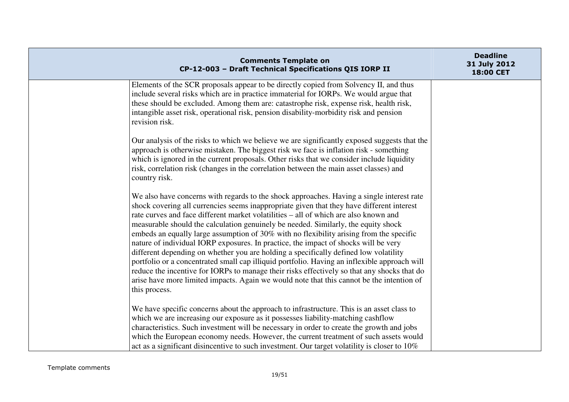| <b>Comments Template on</b><br>CP-12-003 - Draft Technical Specifications QIS IORP II                                                                                                                                                                                                                                                                                                                                                                                                                                                                                                                                                                                                                                                                                                                                                                                                                                                                       | <b>Deadline</b><br>31 July 2012<br>18:00 CET |
|-------------------------------------------------------------------------------------------------------------------------------------------------------------------------------------------------------------------------------------------------------------------------------------------------------------------------------------------------------------------------------------------------------------------------------------------------------------------------------------------------------------------------------------------------------------------------------------------------------------------------------------------------------------------------------------------------------------------------------------------------------------------------------------------------------------------------------------------------------------------------------------------------------------------------------------------------------------|----------------------------------------------|
| Elements of the SCR proposals appear to be directly copied from Solvency II, and thus<br>include several risks which are in practice immaterial for IORPs. We would argue that<br>these should be excluded. Among them are: catastrophe risk, expense risk, health risk,<br>intangible asset risk, operational risk, pension disability-morbidity risk and pension<br>revision risk.                                                                                                                                                                                                                                                                                                                                                                                                                                                                                                                                                                        |                                              |
| Our analysis of the risks to which we believe we are significantly exposed suggests that the<br>approach is otherwise mistaken. The biggest risk we face is inflation risk - something<br>which is ignored in the current proposals. Other risks that we consider include liquidity<br>risk, correlation risk (changes in the correlation between the main asset classes) and<br>country risk.                                                                                                                                                                                                                                                                                                                                                                                                                                                                                                                                                              |                                              |
| We also have concerns with regards to the shock approaches. Having a single interest rate<br>shock covering all currencies seems inappropriate given that they have different interest<br>rate curves and face different market volatilities – all of which are also known and<br>measurable should the calculation genuinely be needed. Similarly, the equity shock<br>embeds an equally large assumption of 30% with no flexibility arising from the specific<br>nature of individual IORP exposures. In practice, the impact of shocks will be very<br>different depending on whether you are holding a specifically defined low volatility<br>portfolio or a concentrated small cap illiquid portfolio. Having an inflexible approach will<br>reduce the incentive for IORPs to manage their risks effectively so that any shocks that do<br>arise have more limited impacts. Again we would note that this cannot be the intention of<br>this process. |                                              |
| We have specific concerns about the approach to infrastructure. This is an asset class to<br>which we are increasing our exposure as it possesses liability-matching cashflow<br>characteristics. Such investment will be necessary in order to create the growth and jobs<br>which the European economy needs. However, the current treatment of such assets would<br>act as a significant disincentive to such investment. Our target volatility is closer to 10%                                                                                                                                                                                                                                                                                                                                                                                                                                                                                         |                                              |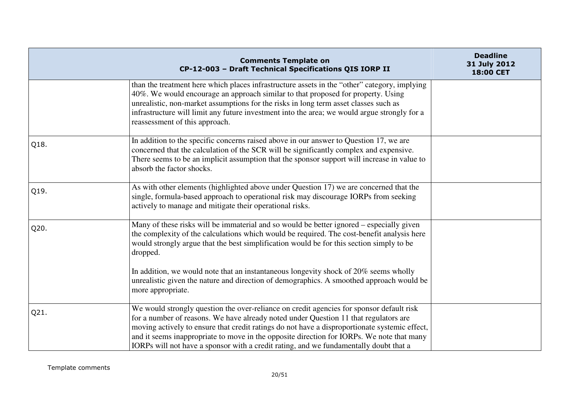|      | <b>Comments Template on</b><br>CP-12-003 - Draft Technical Specifications QIS IORP II                                                                                                                                                                                                                                                                                                                                                                                   | <b>Deadline</b><br>31 July 2012<br>18:00 CET |
|------|-------------------------------------------------------------------------------------------------------------------------------------------------------------------------------------------------------------------------------------------------------------------------------------------------------------------------------------------------------------------------------------------------------------------------------------------------------------------------|----------------------------------------------|
|      | than the treatment here which places infrastructure assets in the "other" category, implying<br>40%. We would encourage an approach similar to that proposed for property. Using<br>unrealistic, non-market assumptions for the risks in long term asset classes such as<br>infrastructure will limit any future investment into the area; we would argue strongly for a<br>reassessment of this approach.                                                              |                                              |
| Q18. | In addition to the specific concerns raised above in our answer to Question 17, we are<br>concerned that the calculation of the SCR will be significantly complex and expensive.<br>There seems to be an implicit assumption that the sponsor support will increase in value to<br>absorb the factor shocks.                                                                                                                                                            |                                              |
| Q19. | As with other elements (highlighted above under Question 17) we are concerned that the<br>single, formula-based approach to operational risk may discourage IORPs from seeking<br>actively to manage and mitigate their operational risks.                                                                                                                                                                                                                              |                                              |
| Q20. | Many of these risks will be immaterial and so would be better ignored – especially given<br>the complexity of the calculations which would be required. The cost-benefit analysis here<br>would strongly argue that the best simplification would be for this section simply to be<br>dropped.<br>In addition, we would note that an instantaneous longevity shock of 20% seems wholly                                                                                  |                                              |
|      | unrealistic given the nature and direction of demographics. A smoothed approach would be<br>more appropriate.                                                                                                                                                                                                                                                                                                                                                           |                                              |
| Q21. | We would strongly question the over-reliance on credit agencies for sponsor default risk<br>for a number of reasons. We have already noted under Question 11 that regulators are<br>moving actively to ensure that credit ratings do not have a disproportionate systemic effect,<br>and it seems inappropriate to move in the opposite direction for IORPs. We note that many<br>IORPs will not have a sponsor with a credit rating, and we fundamentally doubt that a |                                              |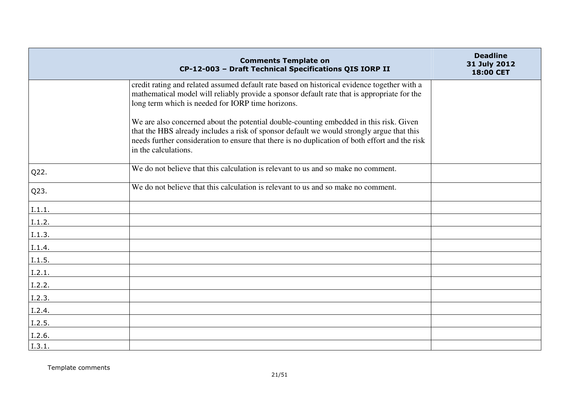|        | <b>Comments Template on</b><br>CP-12-003 - Draft Technical Specifications QIS IORP II                                                                                                                                                                                                                         | <b>Deadline</b><br>31 July 2012<br>18:00 CET |
|--------|---------------------------------------------------------------------------------------------------------------------------------------------------------------------------------------------------------------------------------------------------------------------------------------------------------------|----------------------------------------------|
|        | credit rating and related assumed default rate based on historical evidence together with a<br>mathematical model will reliably provide a sponsor default rate that is appropriate for the<br>long term which is needed for IORP time horizons.                                                               |                                              |
|        | We are also concerned about the potential double-counting embedded in this risk. Given<br>that the HBS already includes a risk of sponsor default we would strongly argue that this<br>needs further consideration to ensure that there is no duplication of both effort and the risk<br>in the calculations. |                                              |
| Q22.   | We do not believe that this calculation is relevant to us and so make no comment.                                                                                                                                                                                                                             |                                              |
| Q23.   | We do not believe that this calculation is relevant to us and so make no comment.                                                                                                                                                                                                                             |                                              |
| I.1.1. |                                                                                                                                                                                                                                                                                                               |                                              |
| I.1.2. |                                                                                                                                                                                                                                                                                                               |                                              |
| I.1.3. |                                                                                                                                                                                                                                                                                                               |                                              |
| I.1.4. |                                                                                                                                                                                                                                                                                                               |                                              |
| I.1.5. |                                                                                                                                                                                                                                                                                                               |                                              |
| I.2.1. |                                                                                                                                                                                                                                                                                                               |                                              |
| I.2.2. |                                                                                                                                                                                                                                                                                                               |                                              |
| I.2.3. |                                                                                                                                                                                                                                                                                                               |                                              |
| I.2.4. |                                                                                                                                                                                                                                                                                                               |                                              |
| I.2.5. |                                                                                                                                                                                                                                                                                                               |                                              |
| I.2.6. |                                                                                                                                                                                                                                                                                                               |                                              |
| I.3.1. |                                                                                                                                                                                                                                                                                                               |                                              |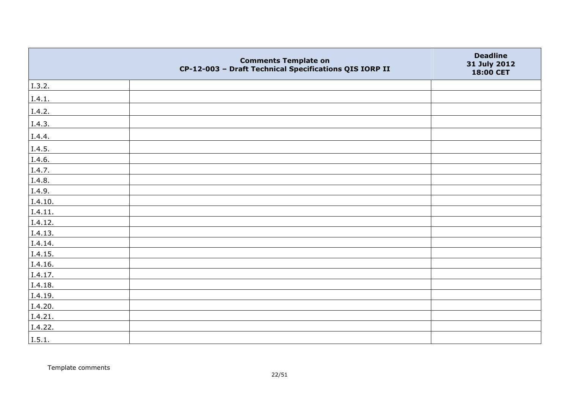|         | <b>Comments Template on</b><br>CP-12-003 - Draft Technical Specifications QIS IORP II | <b>Deadline</b><br>31 July 2012<br>18:00 CET |
|---------|---------------------------------------------------------------------------------------|----------------------------------------------|
| I.3.2.  |                                                                                       |                                              |
| I.4.1.  |                                                                                       |                                              |
| I.4.2.  |                                                                                       |                                              |
| I.4.3.  |                                                                                       |                                              |
| I.4.4.  |                                                                                       |                                              |
| I.4.5.  |                                                                                       |                                              |
| I.4.6.  |                                                                                       |                                              |
| I.4.7.  |                                                                                       |                                              |
| I.4.8.  |                                                                                       |                                              |
| I.4.9.  |                                                                                       |                                              |
| I.4.10. |                                                                                       |                                              |
| I.4.11. |                                                                                       |                                              |
| I.4.12. |                                                                                       |                                              |
| I.4.13. |                                                                                       |                                              |
| I.4.14. |                                                                                       |                                              |
| I.4.15. |                                                                                       |                                              |
| I.4.16. |                                                                                       |                                              |
| I.4.17. |                                                                                       |                                              |
| I.4.18. |                                                                                       |                                              |
| I.4.19. |                                                                                       |                                              |
| I.4.20. |                                                                                       |                                              |
| I.4.21. |                                                                                       |                                              |
| I.4.22. |                                                                                       |                                              |
| I.5.1.  |                                                                                       |                                              |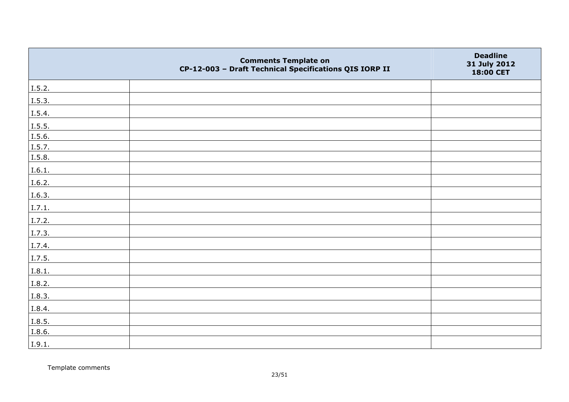|        | <b>Comments Template on</b><br>CP-12-003 - Draft Technical Specifications QIS IORP II | <b>Deadline</b><br>31 July 2012<br>18:00 CET |
|--------|---------------------------------------------------------------------------------------|----------------------------------------------|
| I.5.2. |                                                                                       |                                              |
| I.5.3. |                                                                                       |                                              |
| I.5.4. |                                                                                       |                                              |
| I.5.5. |                                                                                       |                                              |
| I.5.6. |                                                                                       |                                              |
| I.5.7. |                                                                                       |                                              |
| I.5.8. |                                                                                       |                                              |
| I.6.1. |                                                                                       |                                              |
| I.6.2. |                                                                                       |                                              |
| I.6.3. |                                                                                       |                                              |
| I.7.1. |                                                                                       |                                              |
| I.7.2. |                                                                                       |                                              |
| I.7.3. |                                                                                       |                                              |
| I.7.4. |                                                                                       |                                              |
| I.7.5. |                                                                                       |                                              |
| I.8.1. |                                                                                       |                                              |
| I.8.2. |                                                                                       |                                              |
| I.8.3. |                                                                                       |                                              |
| I.8.4. |                                                                                       |                                              |
| I.8.5. |                                                                                       |                                              |
| I.8.6. |                                                                                       |                                              |
| I.9.1. |                                                                                       |                                              |

Template comments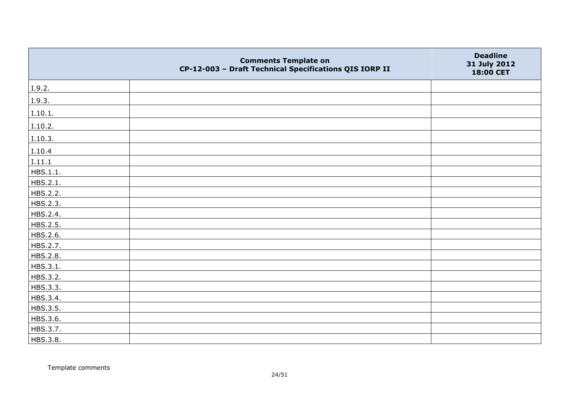|          | <b>Comments Template on</b><br>CP-12-003 - Draft Technical Specifications QIS IORP II | <b>Deadline</b><br>31 July 2012<br>18:00 CET |
|----------|---------------------------------------------------------------------------------------|----------------------------------------------|
| I.9.2.   |                                                                                       |                                              |
| I.9.3.   |                                                                                       |                                              |
| I.10.1.  |                                                                                       |                                              |
| I.10.2.  |                                                                                       |                                              |
| I.10.3.  |                                                                                       |                                              |
| I.10.4   |                                                                                       |                                              |
| I.11.1   |                                                                                       |                                              |
| HBS.1.1. |                                                                                       |                                              |
| HBS.2.1. |                                                                                       |                                              |
| HBS.2.2. |                                                                                       |                                              |
| HBS.2.3. |                                                                                       |                                              |
| HBS.2.4. |                                                                                       |                                              |
| HBS.2.5. |                                                                                       |                                              |
| HBS.2.6. |                                                                                       |                                              |
| HBS.2.7. |                                                                                       |                                              |
| HBS.2.8. |                                                                                       |                                              |
| HBS.3.1. |                                                                                       |                                              |
| HBS.3.2. |                                                                                       |                                              |
| HBS.3.3. |                                                                                       |                                              |
| HBS.3.4. |                                                                                       |                                              |
| HBS.3.5. |                                                                                       |                                              |
| HBS.3.6. |                                                                                       |                                              |
| HBS.3.7. |                                                                                       |                                              |
| HBS.3.8. |                                                                                       |                                              |

Template comments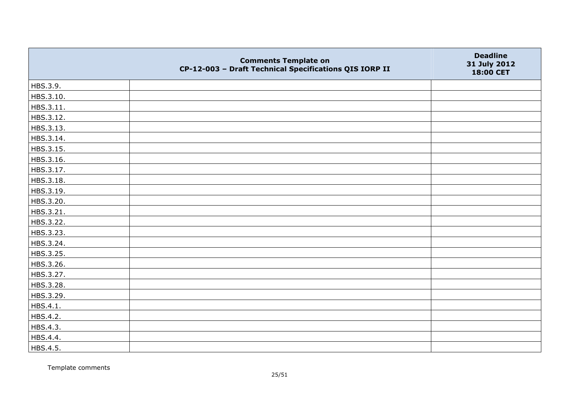|           | <b>Comments Template on</b><br>CP-12-003 - Draft Technical Specifications QIS IORP II | <b>Deadline</b><br>31 July 2012<br>18:00 CET |
|-----------|---------------------------------------------------------------------------------------|----------------------------------------------|
| HBS.3.9.  |                                                                                       |                                              |
| HBS.3.10. |                                                                                       |                                              |
| HBS.3.11. |                                                                                       |                                              |
| HBS.3.12. |                                                                                       |                                              |
| HBS.3.13. |                                                                                       |                                              |
| HBS.3.14. |                                                                                       |                                              |
| HBS.3.15. |                                                                                       |                                              |
| HBS.3.16. |                                                                                       |                                              |
| HBS.3.17. |                                                                                       |                                              |
| HBS.3.18. |                                                                                       |                                              |
| HBS.3.19. |                                                                                       |                                              |
| HBS.3.20. |                                                                                       |                                              |
| HBS.3.21. |                                                                                       |                                              |
| HBS.3.22. |                                                                                       |                                              |
| HBS.3.23. |                                                                                       |                                              |
| HBS.3.24. |                                                                                       |                                              |
| HBS.3.25. |                                                                                       |                                              |
| HBS.3.26. |                                                                                       |                                              |
| HBS.3.27. |                                                                                       |                                              |
| HBS.3.28. |                                                                                       |                                              |
| HBS.3.29. |                                                                                       |                                              |
| HBS.4.1.  |                                                                                       |                                              |
| HBS.4.2.  |                                                                                       |                                              |
| HBS.4.3.  |                                                                                       |                                              |
| HBS.4.4.  |                                                                                       |                                              |
| HBS.4.5.  |                                                                                       |                                              |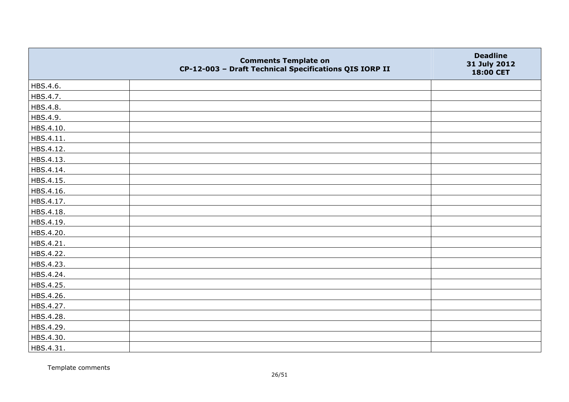|           | <b>Comments Template on</b><br>CP-12-003 - Draft Technical Specifications QIS IORP II | <b>Deadline</b><br>31 July 2012<br>18:00 CET |
|-----------|---------------------------------------------------------------------------------------|----------------------------------------------|
| HBS.4.6.  |                                                                                       |                                              |
| HBS.4.7.  |                                                                                       |                                              |
| HBS.4.8.  |                                                                                       |                                              |
| HBS.4.9.  |                                                                                       |                                              |
| HBS.4.10. |                                                                                       |                                              |
| HBS.4.11. |                                                                                       |                                              |
| HBS.4.12. |                                                                                       |                                              |
| HBS.4.13. |                                                                                       |                                              |
| HBS.4.14. |                                                                                       |                                              |
| HBS.4.15. |                                                                                       |                                              |
| HBS.4.16. |                                                                                       |                                              |
| HBS.4.17. |                                                                                       |                                              |
| HBS.4.18. |                                                                                       |                                              |
| HBS.4.19. |                                                                                       |                                              |
| HBS.4.20. |                                                                                       |                                              |
| HBS.4.21. |                                                                                       |                                              |
| HBS.4.22. |                                                                                       |                                              |
| HBS.4.23. |                                                                                       |                                              |
| HBS.4.24. |                                                                                       |                                              |
| HBS.4.25. |                                                                                       |                                              |
| HBS.4.26. |                                                                                       |                                              |
| HBS.4.27. |                                                                                       |                                              |
| HBS.4.28. |                                                                                       |                                              |
| HBS.4.29. |                                                                                       |                                              |
| HBS.4.30. |                                                                                       |                                              |
| HBS.4.31. |                                                                                       |                                              |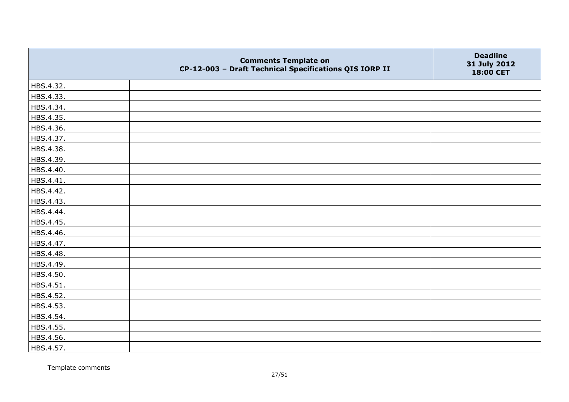|           | <b>Comments Template on</b><br>CP-12-003 - Draft Technical Specifications QIS IORP II | <b>Deadline</b><br>31 July 2012<br>18:00 CET |
|-----------|---------------------------------------------------------------------------------------|----------------------------------------------|
| HBS.4.32. |                                                                                       |                                              |
| HBS.4.33. |                                                                                       |                                              |
| HBS.4.34. |                                                                                       |                                              |
| HBS.4.35. |                                                                                       |                                              |
| HBS.4.36. |                                                                                       |                                              |
| HBS.4.37. |                                                                                       |                                              |
| HBS.4.38. |                                                                                       |                                              |
| HBS.4.39. |                                                                                       |                                              |
| HBS.4.40. |                                                                                       |                                              |
| HBS.4.41. |                                                                                       |                                              |
| HBS.4.42. |                                                                                       |                                              |
| HBS.4.43. |                                                                                       |                                              |
| HBS.4.44. |                                                                                       |                                              |
| HBS.4.45. |                                                                                       |                                              |
| HBS.4.46. |                                                                                       |                                              |
| HBS.4.47. |                                                                                       |                                              |
| HBS.4.48. |                                                                                       |                                              |
| HBS.4.49. |                                                                                       |                                              |
| HBS.4.50. |                                                                                       |                                              |
| HBS.4.51. |                                                                                       |                                              |
| HBS.4.52. |                                                                                       |                                              |
| HBS.4.53. |                                                                                       |                                              |
| HBS.4.54. |                                                                                       |                                              |
| HBS.4.55. |                                                                                       |                                              |
| HBS.4.56. |                                                                                       |                                              |
| HBS.4.57. |                                                                                       |                                              |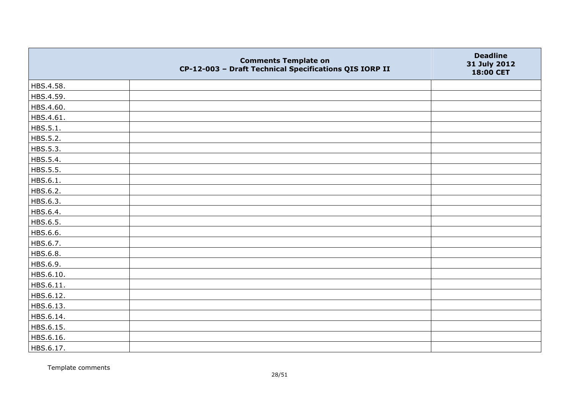|           | <b>Comments Template on</b><br>CP-12-003 - Draft Technical Specifications QIS IORP II | <b>Deadline</b><br>31 July 2012<br>18:00 CET |
|-----------|---------------------------------------------------------------------------------------|----------------------------------------------|
| HBS.4.58. |                                                                                       |                                              |
| HBS.4.59. |                                                                                       |                                              |
| HBS.4.60. |                                                                                       |                                              |
| HBS.4.61. |                                                                                       |                                              |
| HBS.5.1.  |                                                                                       |                                              |
| HBS.5.2.  |                                                                                       |                                              |
| HBS.5.3.  |                                                                                       |                                              |
| HBS.5.4.  |                                                                                       |                                              |
| HBS.5.5.  |                                                                                       |                                              |
| HBS.6.1.  |                                                                                       |                                              |
| HBS.6.2.  |                                                                                       |                                              |
| HBS.6.3.  |                                                                                       |                                              |
| HBS.6.4.  |                                                                                       |                                              |
| HBS.6.5.  |                                                                                       |                                              |
| HBS.6.6.  |                                                                                       |                                              |
| HBS.6.7.  |                                                                                       |                                              |
| HBS.6.8.  |                                                                                       |                                              |
| HBS.6.9.  |                                                                                       |                                              |
| HBS.6.10. |                                                                                       |                                              |
| HBS.6.11. |                                                                                       |                                              |
| HBS.6.12. |                                                                                       |                                              |
| HBS.6.13. |                                                                                       |                                              |
| HBS.6.14. |                                                                                       |                                              |
| HBS.6.15. |                                                                                       |                                              |
| HBS.6.16. |                                                                                       |                                              |
| HBS.6.17. |                                                                                       |                                              |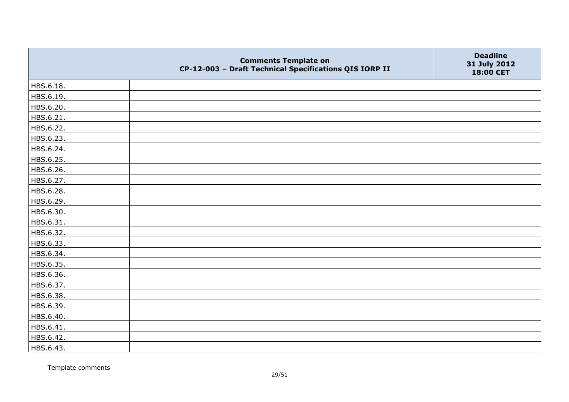|           | <b>Comments Template on</b><br>CP-12-003 - Draft Technical Specifications QIS IORP II | <b>Deadline</b><br>31 July 2012<br>18:00 CET |
|-----------|---------------------------------------------------------------------------------------|----------------------------------------------|
| HBS.6.18. |                                                                                       |                                              |
| HBS.6.19. |                                                                                       |                                              |
| HBS.6.20. |                                                                                       |                                              |
| HBS.6.21. |                                                                                       |                                              |
| HBS.6.22. |                                                                                       |                                              |
| HBS.6.23. |                                                                                       |                                              |
| HBS.6.24. |                                                                                       |                                              |
| HBS.6.25. |                                                                                       |                                              |
| HBS.6.26. |                                                                                       |                                              |
| HBS.6.27. |                                                                                       |                                              |
| HBS.6.28. |                                                                                       |                                              |
| HBS.6.29. |                                                                                       |                                              |
| HBS.6.30. |                                                                                       |                                              |
| HBS.6.31. |                                                                                       |                                              |
| HBS.6.32. |                                                                                       |                                              |
| HBS.6.33. |                                                                                       |                                              |
| HBS.6.34. |                                                                                       |                                              |
| HBS.6.35. |                                                                                       |                                              |
| HBS.6.36. |                                                                                       |                                              |
| HBS.6.37. |                                                                                       |                                              |
| HBS.6.38. |                                                                                       |                                              |
| HBS.6.39. |                                                                                       |                                              |
| HBS.6.40. |                                                                                       |                                              |
| HBS.6.41. |                                                                                       |                                              |
| HBS.6.42. |                                                                                       |                                              |
| HBS.6.43. |                                                                                       |                                              |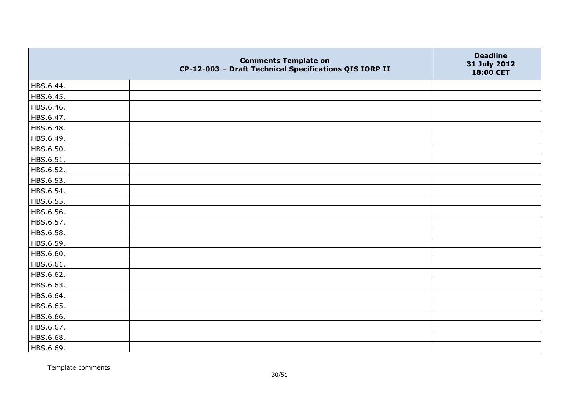|           | <b>Comments Template on</b><br>CP-12-003 - Draft Technical Specifications QIS IORP II | <b>Deadline</b><br>31 July 2012<br>18:00 CET |
|-----------|---------------------------------------------------------------------------------------|----------------------------------------------|
| HBS.6.44. |                                                                                       |                                              |
| HBS.6.45. |                                                                                       |                                              |
| HBS.6.46. |                                                                                       |                                              |
| HBS.6.47. |                                                                                       |                                              |
| HBS.6.48. |                                                                                       |                                              |
| HBS.6.49. |                                                                                       |                                              |
| HBS.6.50. |                                                                                       |                                              |
| HBS.6.51. |                                                                                       |                                              |
| HBS.6.52. |                                                                                       |                                              |
| HBS.6.53. |                                                                                       |                                              |
| HBS.6.54. |                                                                                       |                                              |
| HBS.6.55. |                                                                                       |                                              |
| HBS.6.56. |                                                                                       |                                              |
| HBS.6.57. |                                                                                       |                                              |
| HBS.6.58. |                                                                                       |                                              |
| HBS.6.59. |                                                                                       |                                              |
| HBS.6.60. |                                                                                       |                                              |
| HBS.6.61. |                                                                                       |                                              |
| HBS.6.62. |                                                                                       |                                              |
| HBS.6.63. |                                                                                       |                                              |
| HBS.6.64. |                                                                                       |                                              |
| HBS.6.65. |                                                                                       |                                              |
| HBS.6.66. |                                                                                       |                                              |
| HBS.6.67. |                                                                                       |                                              |
| HBS.6.68. |                                                                                       |                                              |
| HBS.6.69. |                                                                                       |                                              |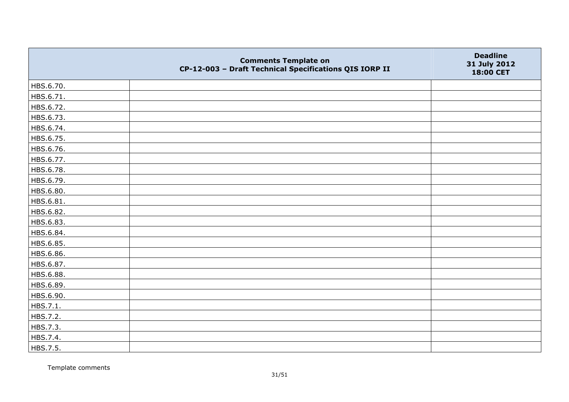|           | <b>Comments Template on</b><br>CP-12-003 - Draft Technical Specifications QIS IORP II | <b>Deadline</b><br>31 July 2012<br>18:00 CET |
|-----------|---------------------------------------------------------------------------------------|----------------------------------------------|
| HBS.6.70. |                                                                                       |                                              |
| HBS.6.71. |                                                                                       |                                              |
| HBS.6.72. |                                                                                       |                                              |
| HBS.6.73. |                                                                                       |                                              |
| HBS.6.74. |                                                                                       |                                              |
| HBS.6.75. |                                                                                       |                                              |
| HBS.6.76. |                                                                                       |                                              |
| HBS.6.77. |                                                                                       |                                              |
| HBS.6.78. |                                                                                       |                                              |
| HBS.6.79. |                                                                                       |                                              |
| HBS.6.80. |                                                                                       |                                              |
| HBS.6.81. |                                                                                       |                                              |
| HBS.6.82. |                                                                                       |                                              |
| HBS.6.83. |                                                                                       |                                              |
| HBS.6.84. |                                                                                       |                                              |
| HBS.6.85. |                                                                                       |                                              |
| HBS.6.86. |                                                                                       |                                              |
| HBS.6.87. |                                                                                       |                                              |
| HBS.6.88. |                                                                                       |                                              |
| HBS.6.89. |                                                                                       |                                              |
| HBS.6.90. |                                                                                       |                                              |
| HBS.7.1.  |                                                                                       |                                              |
| HBS.7.2.  |                                                                                       |                                              |
| HBS.7.3.  |                                                                                       |                                              |
| HBS.7.4.  |                                                                                       |                                              |
| HBS.7.5.  |                                                                                       |                                              |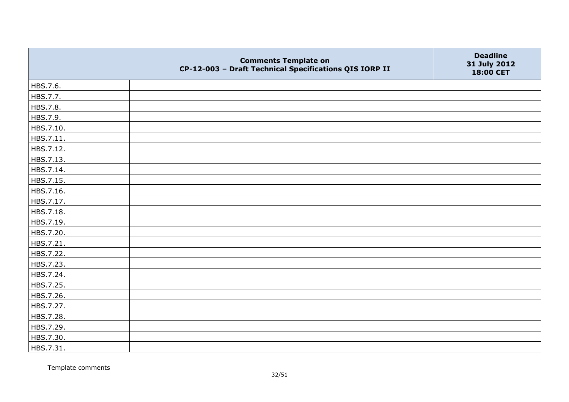|           | <b>Comments Template on</b><br>CP-12-003 - Draft Technical Specifications QIS IORP II | <b>Deadline</b><br>31 July 2012<br>18:00 CET |
|-----------|---------------------------------------------------------------------------------------|----------------------------------------------|
| HBS.7.6.  |                                                                                       |                                              |
| HBS.7.7.  |                                                                                       |                                              |
| HBS.7.8.  |                                                                                       |                                              |
| HBS.7.9.  |                                                                                       |                                              |
| HBS.7.10. |                                                                                       |                                              |
| HBS.7.11. |                                                                                       |                                              |
| HBS.7.12. |                                                                                       |                                              |
| HBS.7.13. |                                                                                       |                                              |
| HBS.7.14. |                                                                                       |                                              |
| HBS.7.15. |                                                                                       |                                              |
| HBS.7.16. |                                                                                       |                                              |
| HBS.7.17. |                                                                                       |                                              |
| HBS.7.18. |                                                                                       |                                              |
| HBS.7.19. |                                                                                       |                                              |
| HBS.7.20. |                                                                                       |                                              |
| HBS.7.21. |                                                                                       |                                              |
| HBS.7.22. |                                                                                       |                                              |
| HBS.7.23. |                                                                                       |                                              |
| HBS.7.24. |                                                                                       |                                              |
| HBS.7.25. |                                                                                       |                                              |
| HBS.7.26. |                                                                                       |                                              |
| HBS.7.27. |                                                                                       |                                              |
| HBS.7.28. |                                                                                       |                                              |
| HBS.7.29. |                                                                                       |                                              |
| HBS.7.30. |                                                                                       |                                              |
| HBS.7.31. |                                                                                       |                                              |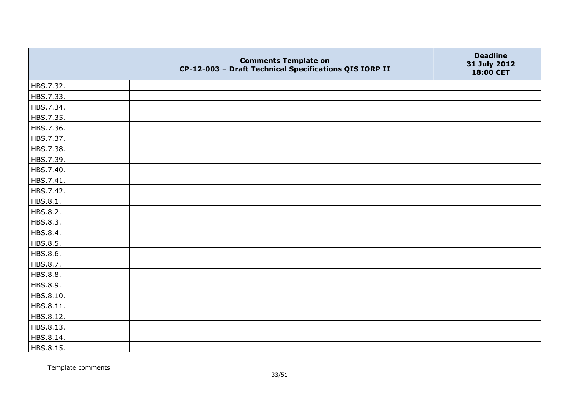|           | <b>Comments Template on</b><br>CP-12-003 - Draft Technical Specifications QIS IORP II | <b>Deadline</b><br>31 July 2012<br>18:00 CET |
|-----------|---------------------------------------------------------------------------------------|----------------------------------------------|
| HBS.7.32. |                                                                                       |                                              |
| HBS.7.33. |                                                                                       |                                              |
| HBS.7.34. |                                                                                       |                                              |
| HBS.7.35. |                                                                                       |                                              |
| HBS.7.36. |                                                                                       |                                              |
| HBS.7.37. |                                                                                       |                                              |
| HBS.7.38. |                                                                                       |                                              |
| HBS.7.39. |                                                                                       |                                              |
| HBS.7.40. |                                                                                       |                                              |
| HBS.7.41. |                                                                                       |                                              |
| HBS.7.42. |                                                                                       |                                              |
| HBS.8.1.  |                                                                                       |                                              |
| HBS.8.2.  |                                                                                       |                                              |
| HBS.8.3.  |                                                                                       |                                              |
| HBS.8.4.  |                                                                                       |                                              |
| HBS.8.5.  |                                                                                       |                                              |
| HBS.8.6.  |                                                                                       |                                              |
| HBS.8.7.  |                                                                                       |                                              |
| HBS.8.8.  |                                                                                       |                                              |
| HBS.8.9.  |                                                                                       |                                              |
| HBS.8.10. |                                                                                       |                                              |
| HBS.8.11. |                                                                                       |                                              |
| HBS.8.12. |                                                                                       |                                              |
| HBS.8.13. |                                                                                       |                                              |
| HBS.8.14. |                                                                                       |                                              |
| HBS.8.15. |                                                                                       |                                              |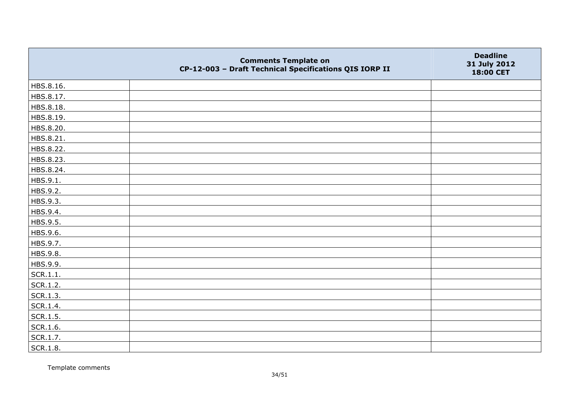|           | <b>Comments Template on</b><br>CP-12-003 - Draft Technical Specifications QIS IORP II | <b>Deadline</b><br>31 July 2012<br>18:00 CET |
|-----------|---------------------------------------------------------------------------------------|----------------------------------------------|
| HBS.8.16. |                                                                                       |                                              |
| HBS.8.17. |                                                                                       |                                              |
| HBS.8.18. |                                                                                       |                                              |
| HBS.8.19. |                                                                                       |                                              |
| HBS.8.20. |                                                                                       |                                              |
| HBS.8.21. |                                                                                       |                                              |
| HBS.8.22. |                                                                                       |                                              |
| HBS.8.23. |                                                                                       |                                              |
| HBS.8.24. |                                                                                       |                                              |
| HBS.9.1.  |                                                                                       |                                              |
| HBS.9.2.  |                                                                                       |                                              |
| HBS.9.3.  |                                                                                       |                                              |
| HBS.9.4.  |                                                                                       |                                              |
| HBS.9.5.  |                                                                                       |                                              |
| HBS.9.6.  |                                                                                       |                                              |
| HBS.9.7.  |                                                                                       |                                              |
| HBS.9.8.  |                                                                                       |                                              |
| HBS.9.9.  |                                                                                       |                                              |
| SCR.1.1.  |                                                                                       |                                              |
| SCR.1.2.  |                                                                                       |                                              |
| SCR.1.3.  |                                                                                       |                                              |
| SCR.1.4.  |                                                                                       |                                              |
| SCR.1.5.  |                                                                                       |                                              |
| SCR.1.6.  |                                                                                       |                                              |
| SCR.1.7.  |                                                                                       |                                              |
| SCR.1.8.  |                                                                                       |                                              |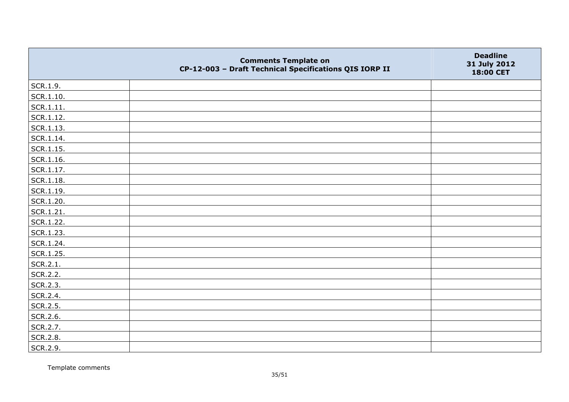|               | <b>Comments Template on</b><br>CP-12-003 - Draft Technical Specifications QIS IORP II | <b>Deadline</b><br>31 July 2012<br>18:00 CET |
|---------------|---------------------------------------------------------------------------------------|----------------------------------------------|
| SCR.1.9.      |                                                                                       |                                              |
| SCR.1.10.     |                                                                                       |                                              |
| SCR.1.11.     |                                                                                       |                                              |
| SCR.1.12.     |                                                                                       |                                              |
| SCR.1.13.     |                                                                                       |                                              |
| $ $ SCR.1.14. |                                                                                       |                                              |
| $ $ SCR.1.15. |                                                                                       |                                              |
| $ $ SCR.1.16. |                                                                                       |                                              |
| SCR.1.17.     |                                                                                       |                                              |
| SCR.1.18.     |                                                                                       |                                              |
| $ $ SCR.1.19. |                                                                                       |                                              |
| SCR.1.20.     |                                                                                       |                                              |
| SCR.1.21.     |                                                                                       |                                              |
| SCR.1.22.     |                                                                                       |                                              |
| SCR.1.23.     |                                                                                       |                                              |
| SCR.1.24.     |                                                                                       |                                              |
| SCR.1.25.     |                                                                                       |                                              |
| SCR.2.1.      |                                                                                       |                                              |
| SCR.2.2.      |                                                                                       |                                              |
| SCR.2.3.      |                                                                                       |                                              |
| SCR.2.4.      |                                                                                       |                                              |
| SCR.2.5.      |                                                                                       |                                              |
| SCR.2.6.      |                                                                                       |                                              |
| SCR.2.7.      |                                                                                       |                                              |
| SCR.2.8.      |                                                                                       |                                              |
| SCR.2.9.      |                                                                                       |                                              |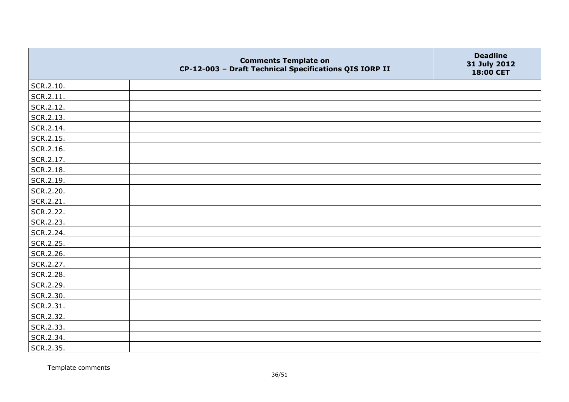|           | <b>Comments Template on</b><br>CP-12-003 - Draft Technical Specifications QIS IORP II | <b>Deadline</b><br>31 July 2012<br>18:00 CET |
|-----------|---------------------------------------------------------------------------------------|----------------------------------------------|
| SCR.2.10. |                                                                                       |                                              |
| SCR.2.11. |                                                                                       |                                              |
| SCR.2.12. |                                                                                       |                                              |
| SCR.2.13. |                                                                                       |                                              |
| SCR.2.14. |                                                                                       |                                              |
| SCR.2.15. |                                                                                       |                                              |
| SCR.2.16. |                                                                                       |                                              |
| SCR.2.17. |                                                                                       |                                              |
| SCR.2.18. |                                                                                       |                                              |
| SCR.2.19. |                                                                                       |                                              |
| SCR.2.20. |                                                                                       |                                              |
| SCR.2.21. |                                                                                       |                                              |
| SCR.2.22. |                                                                                       |                                              |
| SCR.2.23. |                                                                                       |                                              |
| SCR.2.24. |                                                                                       |                                              |
| SCR.2.25. |                                                                                       |                                              |
| SCR.2.26. |                                                                                       |                                              |
| SCR.2.27. |                                                                                       |                                              |
| SCR.2.28. |                                                                                       |                                              |
| SCR.2.29. |                                                                                       |                                              |
| SCR.2.30. |                                                                                       |                                              |
| SCR.2.31. |                                                                                       |                                              |
| SCR.2.32. |                                                                                       |                                              |
| SCR.2.33. |                                                                                       |                                              |
| SCR.2.34. |                                                                                       |                                              |
| SCR.2.35. |                                                                                       |                                              |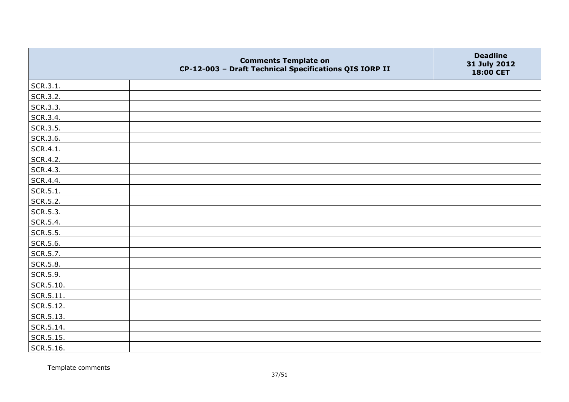|           | <b>Comments Template on</b><br>CP-12-003 - Draft Technical Specifications QIS IORP II | <b>Deadline</b><br>31 July 2012<br>18:00 CET |
|-----------|---------------------------------------------------------------------------------------|----------------------------------------------|
| SCR.3.1.  |                                                                                       |                                              |
| SCR.3.2.  |                                                                                       |                                              |
| SCR.3.3.  |                                                                                       |                                              |
| SCR.3.4.  |                                                                                       |                                              |
| SCR.3.5.  |                                                                                       |                                              |
| SCR.3.6.  |                                                                                       |                                              |
| SCR.4.1.  |                                                                                       |                                              |
| SCR.4.2.  |                                                                                       |                                              |
| SCR.4.3.  |                                                                                       |                                              |
| SCR.4.4.  |                                                                                       |                                              |
| SCR.5.1.  |                                                                                       |                                              |
| SCR.5.2.  |                                                                                       |                                              |
| SCR.5.3.  |                                                                                       |                                              |
| SCR.5.4.  |                                                                                       |                                              |
| SCR.5.5.  |                                                                                       |                                              |
| SCR.5.6.  |                                                                                       |                                              |
| SCR.5.7.  |                                                                                       |                                              |
| SCR.5.8.  |                                                                                       |                                              |
| SCR.5.9.  |                                                                                       |                                              |
| SCR.5.10. |                                                                                       |                                              |
| SCR.5.11. |                                                                                       |                                              |
| SCR.5.12. |                                                                                       |                                              |
| SCR.5.13. |                                                                                       |                                              |
| SCR.5.14. |                                                                                       |                                              |
| SCR.5.15. |                                                                                       |                                              |
| SCR.5.16. |                                                                                       |                                              |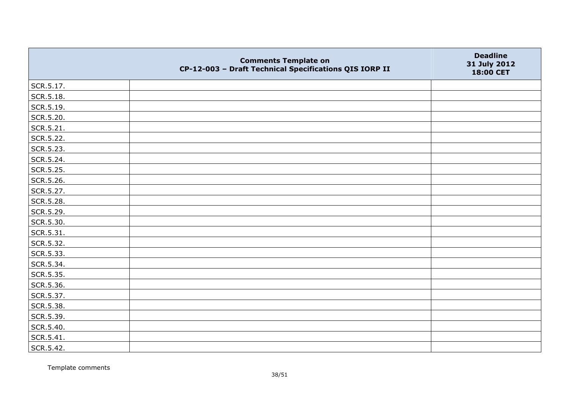|           | <b>Comments Template on</b><br>CP-12-003 - Draft Technical Specifications QIS IORP II | <b>Deadline</b><br>31 July 2012<br>18:00 CET |
|-----------|---------------------------------------------------------------------------------------|----------------------------------------------|
| SCR.5.17. |                                                                                       |                                              |
| SCR.5.18. |                                                                                       |                                              |
| SCR.5.19. |                                                                                       |                                              |
| SCR.5.20. |                                                                                       |                                              |
| SCR.5.21. |                                                                                       |                                              |
| SCR.5.22. |                                                                                       |                                              |
| SCR.5.23. |                                                                                       |                                              |
| SCR.5.24. |                                                                                       |                                              |
| SCR.5.25. |                                                                                       |                                              |
| SCR.5.26. |                                                                                       |                                              |
| SCR.5.27. |                                                                                       |                                              |
| SCR.5.28. |                                                                                       |                                              |
| SCR.5.29. |                                                                                       |                                              |
| SCR.5.30. |                                                                                       |                                              |
| SCR.5.31. |                                                                                       |                                              |
| SCR.5.32. |                                                                                       |                                              |
| SCR.5.33. |                                                                                       |                                              |
| SCR.5.34. |                                                                                       |                                              |
| SCR.5.35. |                                                                                       |                                              |
| SCR.5.36. |                                                                                       |                                              |
| SCR.5.37. |                                                                                       |                                              |
| SCR.5.38. |                                                                                       |                                              |
| SCR.5.39. |                                                                                       |                                              |
| SCR.5.40. |                                                                                       |                                              |
| SCR.5.41. |                                                                                       |                                              |
| SCR.5.42. |                                                                                       |                                              |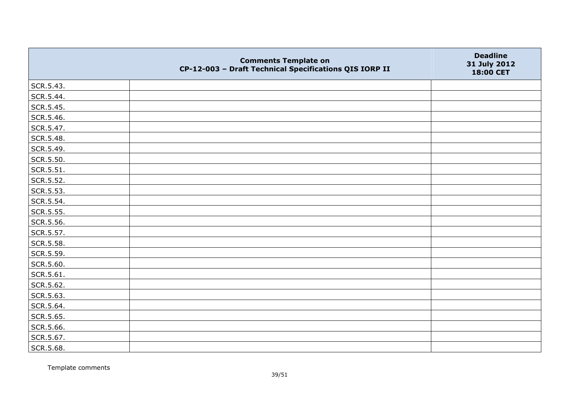|           | <b>Comments Template on</b><br>CP-12-003 - Draft Technical Specifications QIS IORP II | <b>Deadline</b><br>31 July 2012<br>18:00 CET |
|-----------|---------------------------------------------------------------------------------------|----------------------------------------------|
| SCR.5.43. |                                                                                       |                                              |
| SCR.5.44. |                                                                                       |                                              |
| SCR.5.45. |                                                                                       |                                              |
| SCR.5.46. |                                                                                       |                                              |
| SCR.5.47. |                                                                                       |                                              |
| SCR.5.48. |                                                                                       |                                              |
| SCR.5.49. |                                                                                       |                                              |
| SCR.5.50. |                                                                                       |                                              |
| SCR.5.51. |                                                                                       |                                              |
| SCR.5.52. |                                                                                       |                                              |
| SCR.5.53. |                                                                                       |                                              |
| SCR.5.54. |                                                                                       |                                              |
| SCR.5.55. |                                                                                       |                                              |
| SCR.5.56. |                                                                                       |                                              |
| SCR.5.57. |                                                                                       |                                              |
| SCR.5.58. |                                                                                       |                                              |
| SCR.5.59. |                                                                                       |                                              |
| SCR.5.60. |                                                                                       |                                              |
| SCR.5.61. |                                                                                       |                                              |
| SCR.5.62. |                                                                                       |                                              |
| SCR.5.63. |                                                                                       |                                              |
| SCR.5.64. |                                                                                       |                                              |
| SCR.5.65. |                                                                                       |                                              |
| SCR.5.66. |                                                                                       |                                              |
| SCR.5.67. |                                                                                       |                                              |
| SCR.5.68. |                                                                                       |                                              |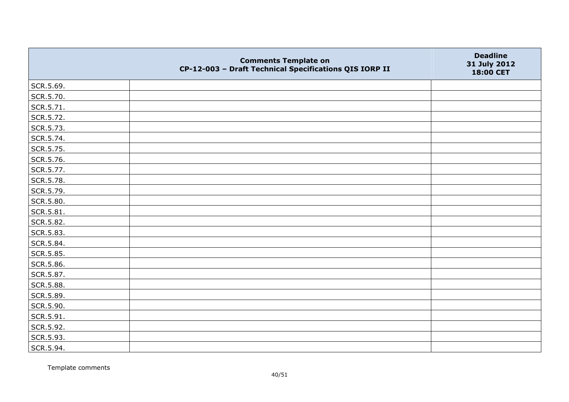|           | <b>Comments Template on</b><br>CP-12-003 - Draft Technical Specifications QIS IORP II | <b>Deadline</b><br>31 July 2012<br>18:00 CET |
|-----------|---------------------------------------------------------------------------------------|----------------------------------------------|
| SCR.5.69. |                                                                                       |                                              |
| SCR.5.70. |                                                                                       |                                              |
| SCR.5.71. |                                                                                       |                                              |
| SCR.5.72. |                                                                                       |                                              |
| SCR.5.73. |                                                                                       |                                              |
| SCR.5.74. |                                                                                       |                                              |
| SCR.5.75. |                                                                                       |                                              |
| SCR.5.76. |                                                                                       |                                              |
| SCR.5.77. |                                                                                       |                                              |
| SCR.5.78. |                                                                                       |                                              |
| SCR.5.79. |                                                                                       |                                              |
| SCR.5.80. |                                                                                       |                                              |
| SCR.5.81. |                                                                                       |                                              |
| SCR.5.82. |                                                                                       |                                              |
| SCR.5.83. |                                                                                       |                                              |
| SCR.5.84. |                                                                                       |                                              |
| SCR.5.85. |                                                                                       |                                              |
| SCR.5.86. |                                                                                       |                                              |
| SCR.5.87. |                                                                                       |                                              |
| SCR.5.88. |                                                                                       |                                              |
| SCR.5.89. |                                                                                       |                                              |
| SCR.5.90. |                                                                                       |                                              |
| SCR.5.91. |                                                                                       |                                              |
| SCR.5.92. |                                                                                       |                                              |
| SCR.5.93. |                                                                                       |                                              |
| SCR.5.94. |                                                                                       |                                              |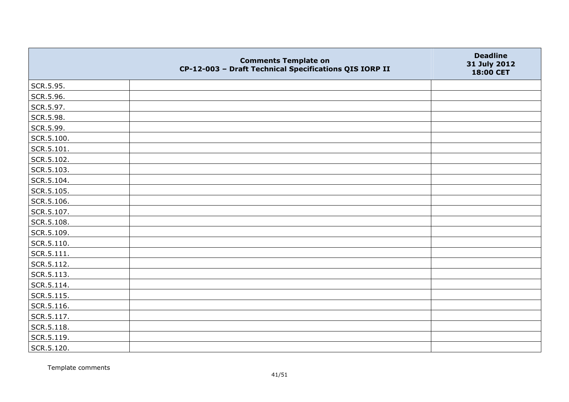|            | <b>Comments Template on</b><br>CP-12-003 - Draft Technical Specifications QIS IORP II | <b>Deadline</b><br>31 July 2012<br>18:00 CET |
|------------|---------------------------------------------------------------------------------------|----------------------------------------------|
| SCR.5.95.  |                                                                                       |                                              |
| SCR.5.96.  |                                                                                       |                                              |
| SCR.5.97.  |                                                                                       |                                              |
| SCR.5.98.  |                                                                                       |                                              |
| SCR.5.99.  |                                                                                       |                                              |
| SCR.5.100. |                                                                                       |                                              |
| SCR.5.101. |                                                                                       |                                              |
| SCR.5.102. |                                                                                       |                                              |
| SCR.5.103. |                                                                                       |                                              |
| SCR.5.104. |                                                                                       |                                              |
| SCR.5.105. |                                                                                       |                                              |
| SCR.5.106. |                                                                                       |                                              |
| SCR.5.107. |                                                                                       |                                              |
| SCR.5.108. |                                                                                       |                                              |
| SCR.5.109. |                                                                                       |                                              |
| SCR.5.110. |                                                                                       |                                              |
| SCR.5.111. |                                                                                       |                                              |
| SCR.5.112. |                                                                                       |                                              |
| SCR.5.113. |                                                                                       |                                              |
| SCR.5.114. |                                                                                       |                                              |
| SCR.5.115. |                                                                                       |                                              |
| SCR.5.116. |                                                                                       |                                              |
| SCR.5.117. |                                                                                       |                                              |
| SCR.5.118. |                                                                                       |                                              |
| SCR.5.119. |                                                                                       |                                              |
| SCR.5.120. |                                                                                       |                                              |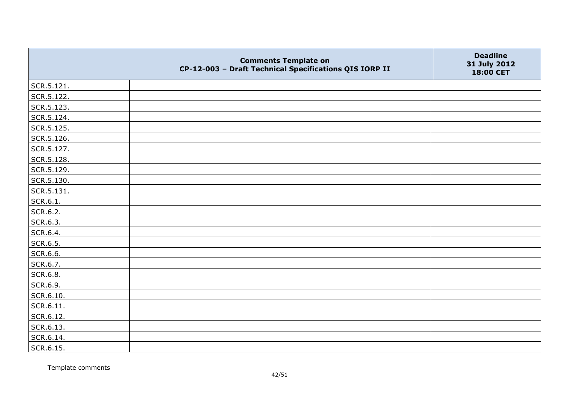|                | <b>Comments Template on</b><br>CP-12-003 - Draft Technical Specifications QIS IORP II | <b>Deadline</b><br>31 July 2012<br>18:00 CET |
|----------------|---------------------------------------------------------------------------------------|----------------------------------------------|
| $ $ SCR.5.121. |                                                                                       |                                              |
| SCR.5.122.     |                                                                                       |                                              |
| SCR.5.123.     |                                                                                       |                                              |
| SCR.5.124.     |                                                                                       |                                              |
| SCR.5.125.     |                                                                                       |                                              |
| SCR.5.126.     |                                                                                       |                                              |
| SCR.5.127.     |                                                                                       |                                              |
| SCR.5.128.     |                                                                                       |                                              |
| SCR.5.129.     |                                                                                       |                                              |
| SCR.5.130.     |                                                                                       |                                              |
| SCR.5.131.     |                                                                                       |                                              |
| SCR.6.1.       |                                                                                       |                                              |
| SCR.6.2.       |                                                                                       |                                              |
| SCR.6.3.       |                                                                                       |                                              |
| SCR.6.4.       |                                                                                       |                                              |
| SCR.6.5.       |                                                                                       |                                              |
| SCR.6.6.       |                                                                                       |                                              |
| SCR.6.7.       |                                                                                       |                                              |
| SCR.6.8.       |                                                                                       |                                              |
| SCR.6.9.       |                                                                                       |                                              |
| SCR.6.10.      |                                                                                       |                                              |
| $ $ SCR.6.11.  |                                                                                       |                                              |
| SCR.6.12.      |                                                                                       |                                              |
| SCR.6.13.      |                                                                                       |                                              |
| SCR.6.14.      |                                                                                       |                                              |
| SCR.6.15.      |                                                                                       |                                              |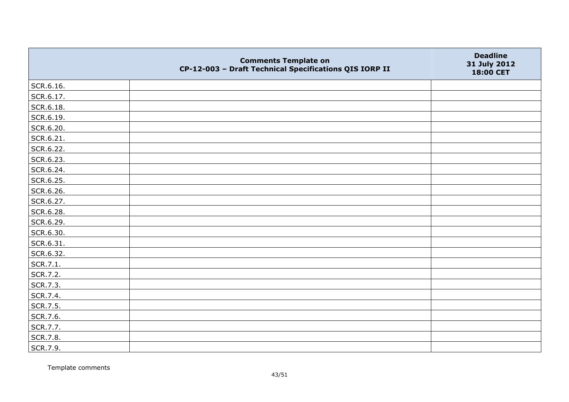|           | <b>Comments Template on</b><br>CP-12-003 - Draft Technical Specifications QIS IORP II | <b>Deadline</b><br>31 July 2012<br>18:00 CET |
|-----------|---------------------------------------------------------------------------------------|----------------------------------------------|
| SCR.6.16. |                                                                                       |                                              |
| SCR.6.17. |                                                                                       |                                              |
| SCR.6.18. |                                                                                       |                                              |
| SCR.6.19. |                                                                                       |                                              |
| SCR.6.20. |                                                                                       |                                              |
| SCR.6.21. |                                                                                       |                                              |
| SCR.6.22. |                                                                                       |                                              |
| SCR.6.23. |                                                                                       |                                              |
| SCR.6.24. |                                                                                       |                                              |
| SCR.6.25. |                                                                                       |                                              |
| SCR.6.26. |                                                                                       |                                              |
| SCR.6.27. |                                                                                       |                                              |
| SCR.6.28. |                                                                                       |                                              |
| SCR.6.29. |                                                                                       |                                              |
| SCR.6.30. |                                                                                       |                                              |
| SCR.6.31. |                                                                                       |                                              |
| SCR.6.32. |                                                                                       |                                              |
| SCR.7.1.  |                                                                                       |                                              |
| SCR.7.2.  |                                                                                       |                                              |
| SCR.7.3.  |                                                                                       |                                              |
| SCR.7.4.  |                                                                                       |                                              |
| SCR.7.5.  |                                                                                       |                                              |
| SCR.7.6.  |                                                                                       |                                              |
| SCR.7.7.  |                                                                                       |                                              |
| SCR.7.8.  |                                                                                       |                                              |
| SCR.7.9.  |                                                                                       |                                              |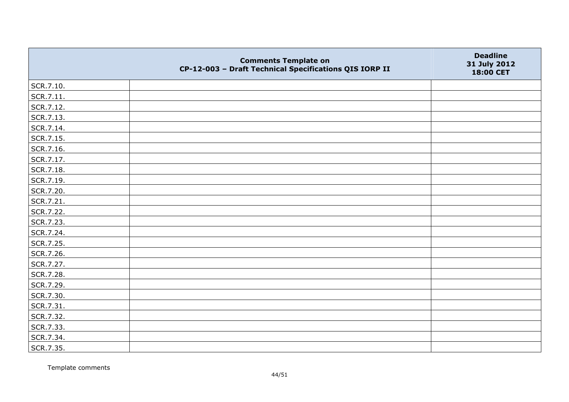|           | <b>Comments Template on</b><br>CP-12-003 - Draft Technical Specifications QIS IORP II | <b>Deadline</b><br>31 July 2012<br>18:00 CET |
|-----------|---------------------------------------------------------------------------------------|----------------------------------------------|
| SCR.7.10. |                                                                                       |                                              |
| SCR.7.11. |                                                                                       |                                              |
| SCR.7.12. |                                                                                       |                                              |
| SCR.7.13. |                                                                                       |                                              |
| SCR.7.14. |                                                                                       |                                              |
| SCR.7.15. |                                                                                       |                                              |
| SCR.7.16. |                                                                                       |                                              |
| SCR.7.17. |                                                                                       |                                              |
| SCR.7.18. |                                                                                       |                                              |
| SCR.7.19. |                                                                                       |                                              |
| SCR.7.20. |                                                                                       |                                              |
| SCR.7.21. |                                                                                       |                                              |
| SCR.7.22. |                                                                                       |                                              |
| SCR.7.23. |                                                                                       |                                              |
| SCR.7.24. |                                                                                       |                                              |
| SCR.7.25. |                                                                                       |                                              |
| SCR.7.26. |                                                                                       |                                              |
| SCR.7.27. |                                                                                       |                                              |
| SCR.7.28. |                                                                                       |                                              |
| SCR.7.29. |                                                                                       |                                              |
| SCR.7.30. |                                                                                       |                                              |
| SCR.7.31. |                                                                                       |                                              |
| SCR.7.32. |                                                                                       |                                              |
| SCR.7.33. |                                                                                       |                                              |
| SCR.7.34. |                                                                                       |                                              |
| SCR.7.35. |                                                                                       |                                              |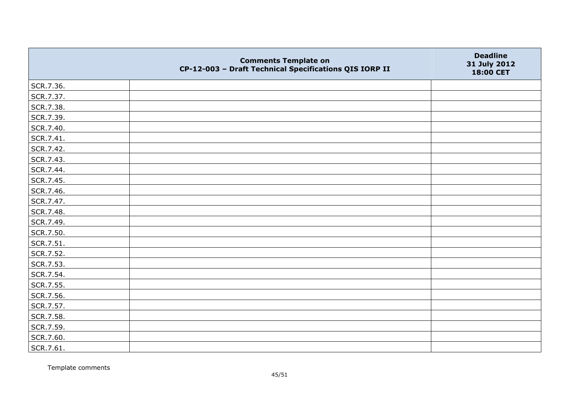|           | <b>Comments Template on</b><br>CP-12-003 - Draft Technical Specifications QIS IORP II | <b>Deadline</b><br>31 July 2012<br>18:00 CET |
|-----------|---------------------------------------------------------------------------------------|----------------------------------------------|
| SCR.7.36. |                                                                                       |                                              |
| SCR.7.37. |                                                                                       |                                              |
| SCR.7.38. |                                                                                       |                                              |
| SCR.7.39. |                                                                                       |                                              |
| SCR.7.40. |                                                                                       |                                              |
| SCR.7.41. |                                                                                       |                                              |
| SCR.7.42. |                                                                                       |                                              |
| SCR.7.43. |                                                                                       |                                              |
| SCR.7.44. |                                                                                       |                                              |
| SCR.7.45. |                                                                                       |                                              |
| SCR.7.46. |                                                                                       |                                              |
| SCR.7.47. |                                                                                       |                                              |
| SCR.7.48. |                                                                                       |                                              |
| SCR.7.49. |                                                                                       |                                              |
| SCR.7.50. |                                                                                       |                                              |
| SCR.7.51. |                                                                                       |                                              |
| SCR.7.52. |                                                                                       |                                              |
| SCR.7.53. |                                                                                       |                                              |
| SCR.7.54. |                                                                                       |                                              |
| SCR.7.55. |                                                                                       |                                              |
| SCR.7.56. |                                                                                       |                                              |
| SCR.7.57. |                                                                                       |                                              |
| SCR.7.58. |                                                                                       |                                              |
| SCR.7.59. |                                                                                       |                                              |
| SCR.7.60. |                                                                                       |                                              |
| SCR.7.61. |                                                                                       |                                              |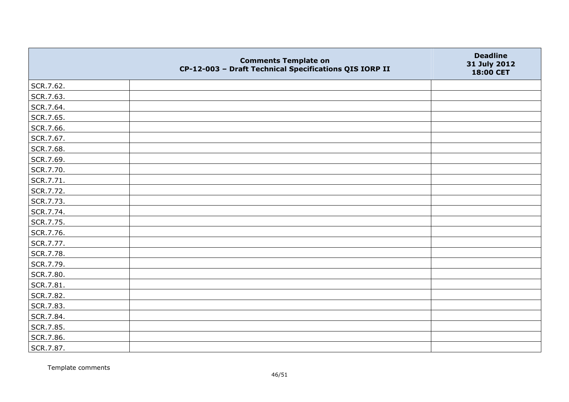|           | <b>Comments Template on</b><br>CP-12-003 - Draft Technical Specifications QIS IORP II | <b>Deadline</b><br>31 July 2012<br>18:00 CET |
|-----------|---------------------------------------------------------------------------------------|----------------------------------------------|
| SCR.7.62. |                                                                                       |                                              |
| SCR.7.63. |                                                                                       |                                              |
| SCR.7.64. |                                                                                       |                                              |
| SCR.7.65. |                                                                                       |                                              |
| SCR.7.66. |                                                                                       |                                              |
| SCR.7.67. |                                                                                       |                                              |
| SCR.7.68. |                                                                                       |                                              |
| SCR.7.69. |                                                                                       |                                              |
| SCR.7.70. |                                                                                       |                                              |
| SCR.7.71. |                                                                                       |                                              |
| SCR.7.72. |                                                                                       |                                              |
| SCR.7.73. |                                                                                       |                                              |
| SCR.7.74. |                                                                                       |                                              |
| SCR.7.75. |                                                                                       |                                              |
| SCR.7.76. |                                                                                       |                                              |
| SCR.7.77. |                                                                                       |                                              |
| SCR.7.78. |                                                                                       |                                              |
| SCR.7.79. |                                                                                       |                                              |
| SCR.7.80. |                                                                                       |                                              |
| SCR.7.81. |                                                                                       |                                              |
| SCR.7.82. |                                                                                       |                                              |
| SCR.7.83. |                                                                                       |                                              |
| SCR.7.84. |                                                                                       |                                              |
| SCR.7.85. |                                                                                       |                                              |
| SCR.7.86. |                                                                                       |                                              |
| SCR.7.87. |                                                                                       |                                              |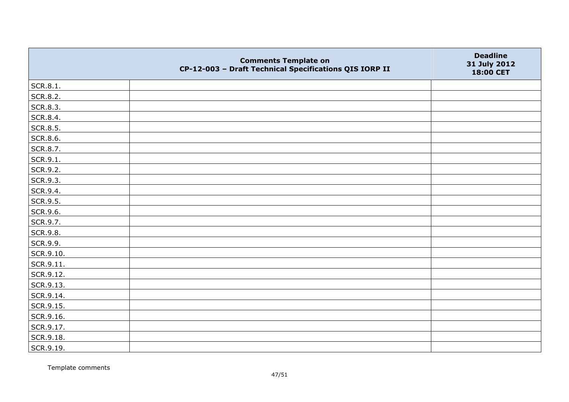|                   | <b>Comments Template on</b><br>CP-12-003 - Draft Technical Specifications QIS IORP II | <b>Deadline</b><br>31 July 2012<br>18:00 CET |
|-------------------|---------------------------------------------------------------------------------------|----------------------------------------------|
| SCR.8.1.          |                                                                                       |                                              |
| SCR.8.2.          |                                                                                       |                                              |
| SCR.8.3.          |                                                                                       |                                              |
| SCR.8.4.          |                                                                                       |                                              |
| SCR.8.5.          |                                                                                       |                                              |
| SCR.8.6.          |                                                                                       |                                              |
| SCR.8.7.          |                                                                                       |                                              |
| SCR.9.1.          |                                                                                       |                                              |
| SCR.9.2.          |                                                                                       |                                              |
| SCR.9.3.          |                                                                                       |                                              |
| SCR.9.4.          |                                                                                       |                                              |
| SCR.9.5.          |                                                                                       |                                              |
| SCR.9.6.          |                                                                                       |                                              |
| SCR.9.7.          |                                                                                       |                                              |
| SCR.9.8.          |                                                                                       |                                              |
| SCR.9.9.          |                                                                                       |                                              |
| SCR.9.10.         |                                                                                       |                                              |
| $\vert$ SCR.9.11. |                                                                                       |                                              |
| SCR.9.12.         |                                                                                       |                                              |
| SCR.9.13.         |                                                                                       |                                              |
| SCR.9.14.         |                                                                                       |                                              |
| SCR.9.15.         |                                                                                       |                                              |
| SCR.9.16.         |                                                                                       |                                              |
| SCR.9.17.         |                                                                                       |                                              |
| SCR.9.18.         |                                                                                       |                                              |
| SCR.9.19.         |                                                                                       |                                              |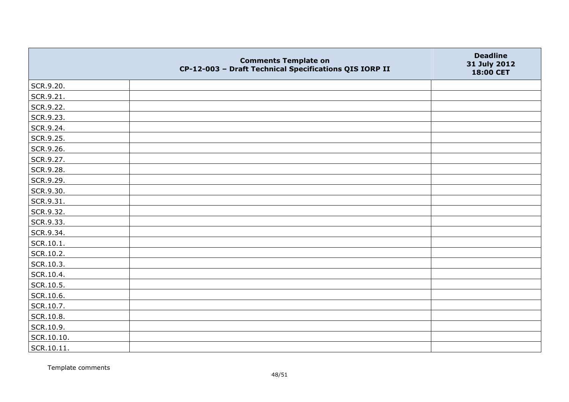|            | <b>Comments Template on</b><br>CP-12-003 - Draft Technical Specifications QIS IORP II | <b>Deadline</b><br>31 July 2012<br>18:00 CET |
|------------|---------------------------------------------------------------------------------------|----------------------------------------------|
| SCR.9.20.  |                                                                                       |                                              |
| SCR.9.21.  |                                                                                       |                                              |
| SCR.9.22.  |                                                                                       |                                              |
| SCR.9.23.  |                                                                                       |                                              |
| SCR.9.24.  |                                                                                       |                                              |
| SCR.9.25.  |                                                                                       |                                              |
| SCR.9.26.  |                                                                                       |                                              |
| SCR.9.27.  |                                                                                       |                                              |
| SCR.9.28.  |                                                                                       |                                              |
| SCR.9.29.  |                                                                                       |                                              |
| SCR.9.30.  |                                                                                       |                                              |
| SCR.9.31.  |                                                                                       |                                              |
| SCR.9.32.  |                                                                                       |                                              |
| SCR.9.33.  |                                                                                       |                                              |
| SCR.9.34.  |                                                                                       |                                              |
| SCR.10.1.  |                                                                                       |                                              |
| SCR.10.2.  |                                                                                       |                                              |
| SCR.10.3.  |                                                                                       |                                              |
| SCR.10.4.  |                                                                                       |                                              |
| SCR.10.5.  |                                                                                       |                                              |
| SCR.10.6.  |                                                                                       |                                              |
| SCR.10.7.  |                                                                                       |                                              |
| SCR.10.8.  |                                                                                       |                                              |
| SCR.10.9.  |                                                                                       |                                              |
| SCR.10.10. |                                                                                       |                                              |
| SCR.10.11. |                                                                                       |                                              |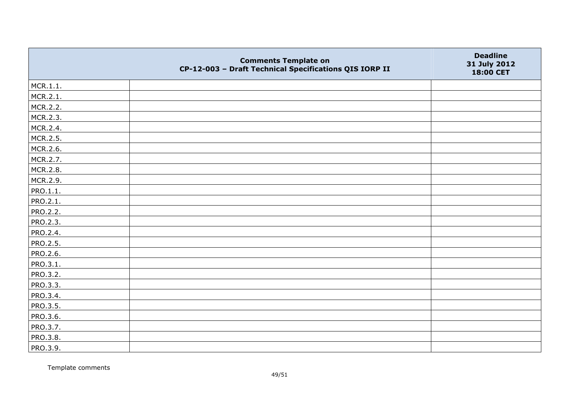|                 | <b>Comments Template on</b><br>CP-12-003 - Draft Technical Specifications QIS IORP II | <b>Deadline</b><br>31 July 2012<br>18:00 CET |
|-----------------|---------------------------------------------------------------------------------------|----------------------------------------------|
| MCR.1.1.        |                                                                                       |                                              |
| MCR.2.1.        |                                                                                       |                                              |
| MCR.2.2.        |                                                                                       |                                              |
| MCR.2.3.        |                                                                                       |                                              |
| MCR.2.4.        |                                                                                       |                                              |
| MCR.2.5.        |                                                                                       |                                              |
| MCR.2.6.        |                                                                                       |                                              |
| MCR.2.7.        |                                                                                       |                                              |
| MCR.2.8.        |                                                                                       |                                              |
| MCR.2.9.        |                                                                                       |                                              |
| PRO.1.1.        |                                                                                       |                                              |
| PRO.2.1.        |                                                                                       |                                              |
| PRO.2.2.        |                                                                                       |                                              |
| PRO.2.3.        |                                                                                       |                                              |
| PRO.2.4.        |                                                                                       |                                              |
| PRO.2.5.        |                                                                                       |                                              |
| PRO.2.6.        |                                                                                       |                                              |
| PRO.3.1.        |                                                                                       |                                              |
| PRO.3.2.        |                                                                                       |                                              |
| PRO.3.3.        |                                                                                       |                                              |
| PRO.3.4.        |                                                                                       |                                              |
| <b>PRO.3.5.</b> |                                                                                       |                                              |
| PRO.3.6.        |                                                                                       |                                              |
| PRO.3.7.        |                                                                                       |                                              |
| PRO.3.8.        |                                                                                       |                                              |
| PRO.3.9.        |                                                                                       |                                              |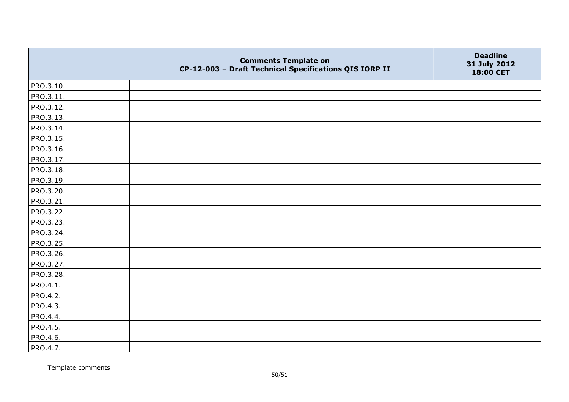|           | <b>Comments Template on</b><br>CP-12-003 - Draft Technical Specifications QIS IORP II | <b>Deadline</b><br>31 July 2012<br>18:00 CET |
|-----------|---------------------------------------------------------------------------------------|----------------------------------------------|
| PRO.3.10. |                                                                                       |                                              |
| PRO.3.11. |                                                                                       |                                              |
| PRO.3.12. |                                                                                       |                                              |
| PRO.3.13. |                                                                                       |                                              |
| PRO.3.14. |                                                                                       |                                              |
| PRO.3.15. |                                                                                       |                                              |
| PRO.3.16. |                                                                                       |                                              |
| PRO.3.17. |                                                                                       |                                              |
| PRO.3.18. |                                                                                       |                                              |
| PRO.3.19. |                                                                                       |                                              |
| PRO.3.20. |                                                                                       |                                              |
| PRO.3.21. |                                                                                       |                                              |
| PRO.3.22. |                                                                                       |                                              |
| PRO.3.23. |                                                                                       |                                              |
| PRO.3.24. |                                                                                       |                                              |
| PRO.3.25. |                                                                                       |                                              |
| PRO.3.26. |                                                                                       |                                              |
| PRO.3.27. |                                                                                       |                                              |
| PRO.3.28. |                                                                                       |                                              |
| PRO.4.1.  |                                                                                       |                                              |
| PRO.4.2.  |                                                                                       |                                              |
| PRO.4.3.  |                                                                                       |                                              |
| PRO.4.4.  |                                                                                       |                                              |
| PRO.4.5.  |                                                                                       |                                              |
| PRO.4.6.  |                                                                                       |                                              |
| PRO.4.7.  |                                                                                       |                                              |